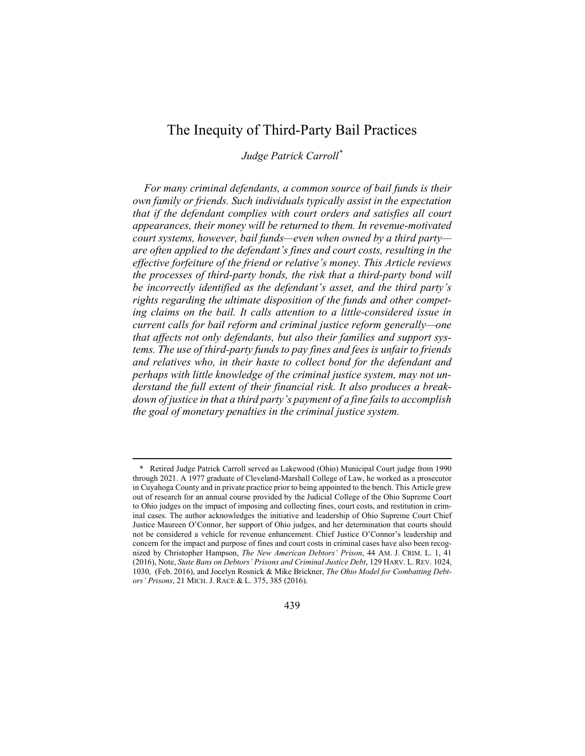# The Inequity of Third-Party Bail Practices

Judge Patrick Carroll\*

For many criminal defendants, a common source of bail funds is their own family or friends. Such individuals typically assist in the expectation that if the defendant complies with court orders and satisfies all court appearances, their money will be returned to them. In revenue-motivated court systems, however, bail funds—even when owned by a third party are often applied to the defendant's fines and court costs, resulting in the effective forfeiture of the friend or relative's money. This Article reviews the processes of third-party bonds, the risk that a third-party bond will be incorrectly identified as the defendant's asset, and the third party's rights regarding the ultimate disposition of the funds and other competing claims on the bail. It calls attention to a little-considered issue in current calls for bail reform and criminal justice reform generally—one that affects not only defendants, but also their families and support systems. The use of third-party funds to pay fines and fees is unfair to friends and relatives who, in their haste to collect bond for the defendant and perhaps with little knowledge of the criminal justice system, may not understand the full extent of their financial risk. It also produces a breakdown of justice in that a third party's payment of a fine fails to accomplish the goal of monetary penalties in the criminal justice system.

439

<sup>\*</sup> Retired Judge Patrick Carroll served as Lakewood (Ohio) Municipal Court judge from 1990 through 2021. A 1977 graduate of Cleveland-Marshall College of Law, he worked as a prosecutor in Cuyahoga County and in private practice prior to being appointed to the bench. This Article grew out of research for an annual course provided by the Judicial College of the Ohio Supreme Court to Ohio judges on the impact of imposing and collecting fines, court costs, and restitution in criminal cases. The author acknowledges the initiative and leadership of Ohio Supreme Court Chief Justice Maureen O'Connor, her support of Ohio judges, and her determination that courts should not be considered a vehicle for revenue enhancement. Chief Justice O'Connor's leadership and concern for the impact and purpose of fines and court costs in criminal cases have also been recognized by Christopher Hampson, The New American Debtors' Prison, 44 AM. J. CRIM. L. 1, 41 (2016), Note, State Bans on Debtors' Prisons and Criminal Justice Debt, 129 HARV. L. REV. 1024, 1030, (Feb. 2016), and Jocelyn Rosnick & Mike Brickner, The Ohio Model for Combatting Debtors' Prisons, 21 MICH. J. RACE & L. 375, 385 (2016).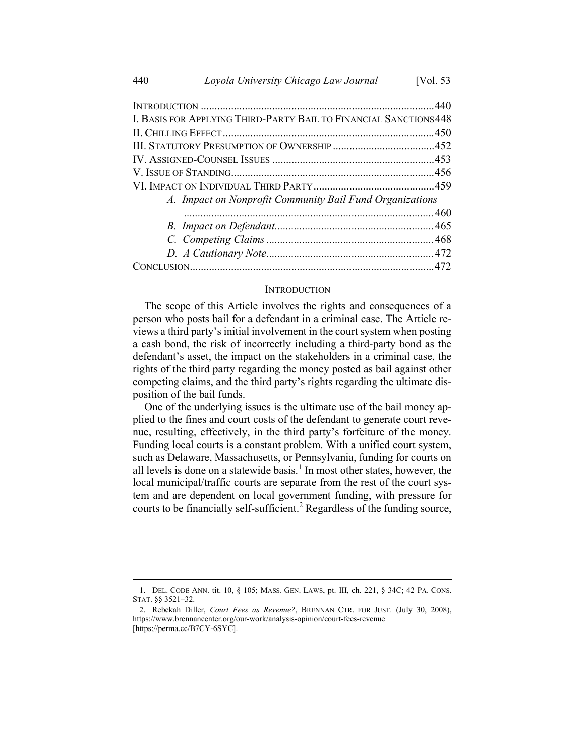| I. BASIS FOR APPLYING THIRD-PARTY BAIL TO FINANCIAL SANCTIONS 448<br>A. Impact on Nonprofit Community Bail Fund Organizations |  |
|-------------------------------------------------------------------------------------------------------------------------------|--|
|                                                                                                                               |  |
|                                                                                                                               |  |
|                                                                                                                               |  |
|                                                                                                                               |  |
|                                                                                                                               |  |
|                                                                                                                               |  |
|                                                                                                                               |  |
|                                                                                                                               |  |
|                                                                                                                               |  |
|                                                                                                                               |  |
|                                                                                                                               |  |
|                                                                                                                               |  |

#### **INTRODUCTION**

The scope of this Article involves the rights and consequences of a person who posts bail for a defendant in a criminal case. The Article reviews a third party's initial involvement in the court system when posting a cash bond, the risk of incorrectly including a third-party bond as the defendant's asset, the impact on the stakeholders in a criminal case, the rights of the third party regarding the money posted as bail against other competing claims, and the third party's rights regarding the ultimate disposition of the bail funds.

One of the underlying issues is the ultimate use of the bail money applied to the fines and court costs of the defendant to generate court revenue, resulting, effectively, in the third party's forfeiture of the money. Funding local courts is a constant problem. With a unified court system, such as Delaware, Massachusetts, or Pennsylvania, funding for courts on all levels is done on a statewide basis.<sup>1</sup> In most other states, however, the local municipal/traffic courts are separate from the rest of the court system and are dependent on local government funding, with pressure for courts to be financially self-sufficient.<sup>2</sup> Regardless of the funding source,

<sup>1.</sup> DEL. CODE ANN. tit. 10, § 105; MASS. GEN. LAWS, pt. III, ch. 221, § 34C; 42 PA. CONS. STAT. §§ 3521–32.

<sup>2.</sup> Rebekah Diller, Court Fees as Revenue?, BRENNAN CTR. FOR JUST. (July 30, 2008), https://www.brennancenter.org/our-work/analysis-opinion/court-fees-revenue [https://perma.cc/B7CY-6SYC].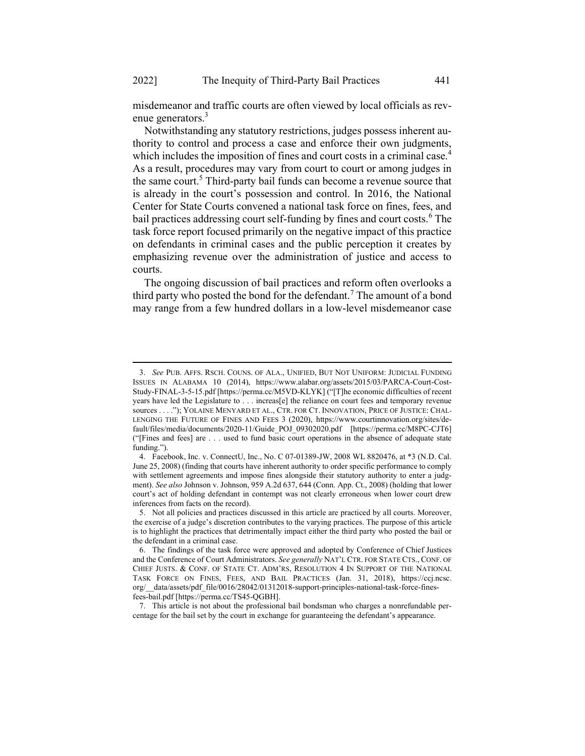misdemeanor and traffic courts are often viewed by local officials as revenue generators.<sup>3</sup>

Notwithstanding any statutory restrictions, judges possess inherent authority to control and process a case and enforce their own judgments, which includes the imposition of fines and court costs in a criminal case.<sup>4</sup> As a result, procedures may vary from court to court or among judges in the same court.<sup>5</sup> Third-party bail funds can become a revenue source that is already in the court's possession and control. In 2016, the National Center for State Courts convened a national task force on fines, fees, and bail practices addressing court self-funding by fines and court costs.<sup>6</sup> The task force report focused primarily on the negative impact of this practice on defendants in criminal cases and the public perception it creates by emphasizing revenue over the administration of justice and access to courts.

 The ongoing discussion of bail practices and reform often overlooks a third party who posted the bond for the defendant.<sup>7</sup> The amount of a bond may range from a few hundred dollars in a low-level misdemeanor case

7. This article is not about the professional bail bondsman who charges a nonrefundable percentage for the bail set by the court in exchange for guaranteeing the defendant's appearance.

<sup>3.</sup> See PUB. AFFS. RSCH. COUNS. OF ALA., UNIFIED, BUT NOT UNIFORM: JUDICIAL FUNDING ISSUES IN ALABAMA 10 (2014), https://www.alabar.org/assets/2015/03/PARCA-Court-Cost-Study-FINAL-3-5-15.pdf [https://perma.cc/M5VD-KLYK] ("[T]he economic difficulties of recent years have led the Legislature to . . . increas[e] the reliance on court fees and temporary revenue sources . . . ."); YOLAINE MENYARD ET AL., CTR. FOR CT. INNOVATION, PRICE OF JUSTICE: CHAL-LENGING THE FUTURE OF FINES AND FEES 3 (2020), https://www.courtinnovation.org/sites/default/files/media/documents/2020-11/Guide\_POJ\_09302020.pdf [https://perma.cc/M8PC-CJT6] ("[Fines and fees] are . . . used to fund basic court operations in the absence of adequate state funding.").

<sup>4.</sup> Facebook, Inc. v. ConnectU, Inc., No. C 07-01389-JW, 2008 WL 8820476, at \*3 (N.D. Cal. June 25, 2008) (finding that courts have inherent authority to order specific performance to comply with settlement agreements and impose fines alongside their statutory authority to enter a judgment). See also Johnson v. Johnson, 959 A.2d 637, 644 (Conn. App. Ct., 2008) (holding that lower court's act of holding defendant in contempt was not clearly erroneous when lower court drew inferences from facts on the record).

<sup>5.</sup> Not all policies and practices discussed in this article are practiced by all courts. Moreover, the exercise of a judge's discretion contributes to the varying practices. The purpose of this article is to highlight the practices that detrimentally impact either the third party who posted the bail or the defendant in a criminal case.

<sup>6.</sup> The findings of the task force were approved and adopted by Conference of Chief Justices and the Conference of Court Administrators. See generally NAT'L CTR. FOR STATE CTS., CONF. OF CHIEF JUSTS. & CONF. OF STATE CT. ADM'RS, RESOLUTION 4 IN SUPPORT OF THE NATIONAL TASK FORCE ON FINES, FEES, AND BAIL PRACTICES (Jan. 31, 2018), https://ccj.ncsc. org/\_\_data/assets/pdf\_file/0016/28042/01312018-support-principles-national-task-force-finesfees-bail.pdf [https://perma.cc/TS45-QGBH].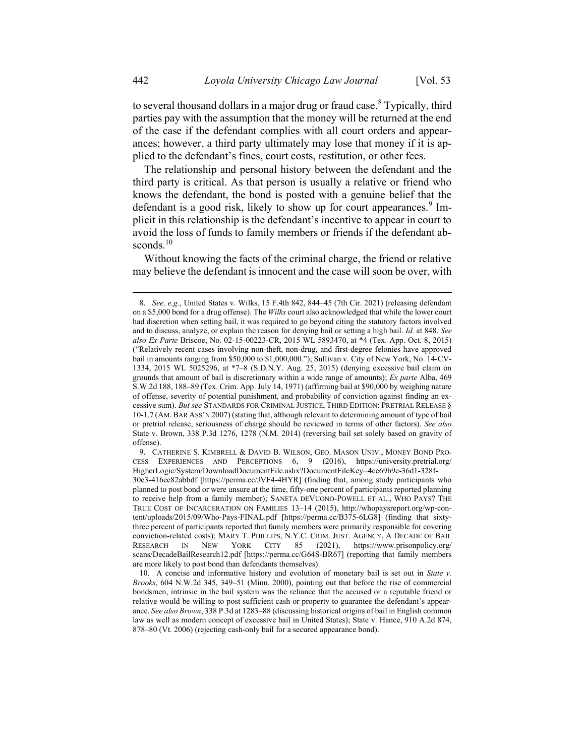to several thousand dollars in a major drug or fraud case. $8$  Typically, third parties pay with the assumption that the money will be returned at the end of the case if the defendant complies with all court orders and appearances; however, a third party ultimately may lose that money if it is applied to the defendant's fines, court costs, restitution, or other fees.

The relationship and personal history between the defendant and the third party is critical. As that person is usually a relative or friend who knows the defendant, the bond is posted with a genuine belief that the defendant is a good risk, likely to show up for court appearances.<sup>9</sup> Implicit in this relationship is the defendant's incentive to appear in court to avoid the loss of funds to family members or friends if the defendant absconds.<sup>10</sup>

Without knowing the facts of the criminal charge, the friend or relative may believe the defendant is innocent and the case will soon be over, with

<sup>8.</sup> See, e.g., United States v. Wilks, 15 F.4th 842, 844–45 (7th Cir. 2021) (releasing defendant on a \$5,000 bond for a drug offense). The Wilks court also acknowledged that while the lower court had discretion when setting bail, it was required to go beyond citing the statutory factors involved and to discuss, analyze, or explain the reason for denying bail or setting a high bail. Id. at 848. See also Ex Parte Briscoe, No. 02-15-00223-CR, 2015 WL 5893470, at \*4 (Tex. App. Oct. 8, 2015) ("Relatively recent cases involving non-theft, non-drug, and first-degree felonies have approved bail in amounts ranging from \$50,000 to \$1,000,000."); Sullivan v. City of New York, No. 14-CV-1334, 2015 WL 5025296, at \*7–8 (S.D.N.Y. Aug. 25, 2015) (denying excessive bail claim on grounds that amount of bail is discretionary within a wide range of amounts); Ex parte Alba, 469 S.W.2d 188, 188–89 (Tex. Crim. App. July 14, 1971) (affirming bail at \$90,000 by weighing nature of offense, severity of potential punishment, and probability of conviction against finding an excessive sum). But see STANDARDS FOR CRIMINAL JUSTICE, THIRD EDITION: PRETRIAL RELEASE § 10-1.7 (AM. BAR ASS'N 2007) (stating that, although relevant to determining amount of type of bail or pretrial release, seriousness of charge should be reviewed in terms of other factors). See also State v. Brown, 338 P.3d 1276, 1278 (N.M. 2014) (reversing bail set solely based on gravity of offense).

<sup>9.</sup> CATHERINE S. KIMBRELL & DAVID B. WILSON, GEO. MASON UNIV., MONEY BOND PRO-CESS EXPERIENCES AND PERCEPTIONS 6, 9 (2016), https://university.pretrial.org/ HigherLogic/System/DownloadDocumentFile.ashx?DocumentFileKey=4ce69b9e-36d1-328f-

<sup>30</sup>e3-416ee82abbdf [https://perma.cc/JVF4-4HYR] (finding that, among study participants who planned to post bond or were unsure at the time, fifty-one percent of participants reported planning to receive help from a family member); SANETA DEVUONO-POWELL ET AL., WHO PAYS? THE TRUE COST OF INCARCERATION ON FAMILIES 13–14 (2015), http://whopaysreport.org/wp-content/uploads/2015/09/Who-Pays-FINAL.pdf [https://perma.cc/B375-6LG8] (finding that sixtythree percent of participants reported that family members were primarily responsible for covering conviction-related costs); MARY T. PHILLIPS, N.Y.C. CRIM. JUST. AGENCY, A DECADE OF BAIL RESEARCH IN NEW YORK CITY 85 (2021), https://www.prisonpolicy.org/ scans/DecadeBailResearch12.pdf [https://perma.cc/G64S-BR67] (reporting that family members are more likely to post bond than defendants themselves).

<sup>10.</sup> A concise and informative history and evolution of monetary bail is set out in State v. Brooks, 604 N.W.2d 345, 349–51 (Minn. 2000), pointing out that before the rise of commercial bondsmen, intrinsic in the bail system was the reliance that the accused or a reputable friend or relative would be willing to post sufficient cash or property to guarantee the defendant's appearance. See also Brown, 338 P.3d at 1283–88 (discussing historical origins of bail in English common law as well as modern concept of excessive bail in United States); State v. Hance, 910 A.2d 874, 878–80 (Vt. 2006) (rejecting cash-only bail for a secured appearance bond).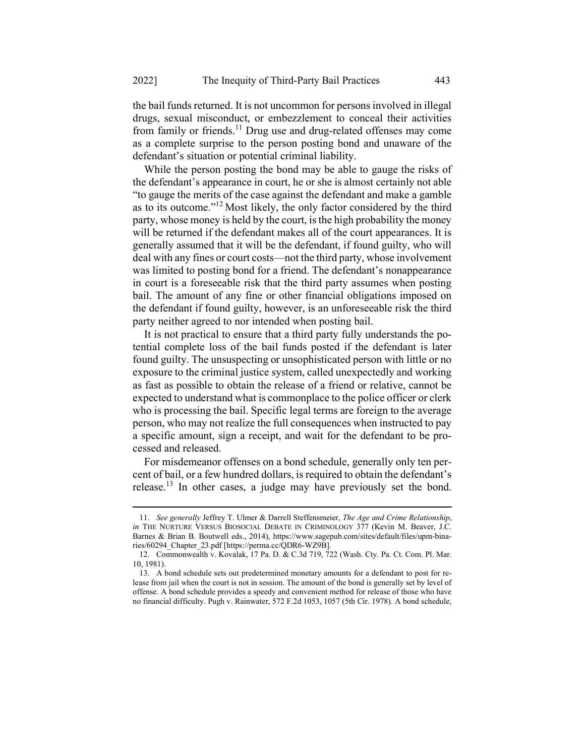the bail funds returned. It is not uncommon for persons involved in illegal drugs, sexual misconduct, or embezzlement to conceal their activities from family or friends.<sup>11</sup> Drug use and drug-related offenses may come as a complete surprise to the person posting bond and unaware of the defendant's situation or potential criminal liability.

While the person posting the bond may be able to gauge the risks of the defendant's appearance in court, he or she is almost certainly not able "to gauge the merits of the case against the defendant and make a gamble as to its outcome."<sup>12</sup> Most likely, the only factor considered by the third party, whose money is held by the court, is the high probability the money will be returned if the defendant makes all of the court appearances. It is generally assumed that it will be the defendant, if found guilty, who will deal with any fines or court costs—not the third party, whose involvement was limited to posting bond for a friend. The defendant's nonappearance in court is a foreseeable risk that the third party assumes when posting bail. The amount of any fine or other financial obligations imposed on the defendant if found guilty, however, is an unforeseeable risk the third party neither agreed to nor intended when posting bail.

It is not practical to ensure that a third party fully understands the potential complete loss of the bail funds posted if the defendant is later found guilty. The unsuspecting or unsophisticated person with little or no exposure to the criminal justice system, called unexpectedly and working as fast as possible to obtain the release of a friend or relative, cannot be expected to understand what is commonplace to the police officer or clerk who is processing the bail. Specific legal terms are foreign to the average person, who may not realize the full consequences when instructed to pay a specific amount, sign a receipt, and wait for the defendant to be processed and released.

For misdemeanor offenses on a bond schedule, generally only ten percent of bail, or a few hundred dollars, is required to obtain the defendant's release.<sup>13</sup> In other cases, a judge may have previously set the bond.

<sup>11.</sup> See generally Jeffrey T. Ulmer & Darrell Steffensmeier, The Age and Crime Relationship, in THE NURTURE VERSUS BIOSOCIAL DEBATE IN CRIMINOLOGY 377 (Kevin M. Beaver, J.C. Barnes & Brian B. Boutwell eds., 2014), https://www.sagepub.com/sites/default/files/upm-binaries/60294\_Chapter\_23.pdf [https://perma.cc/QDR6-WZ9B].

<sup>12.</sup> Commonwealth v. Kovalak, 17 Pa. D. & C.3d 719, 722 (Wash. Cty. Pa. Ct. Com. Pl. Mar. 10, 1981).

<sup>13.</sup> A bond schedule sets out predetermined monetary amounts for a defendant to post for release from jail when the court is not in session. The amount of the bond is generally set by level of offense. A bond schedule provides a speedy and convenient method for release of those who have no financial difficulty. Pugh v. Rainwater, 572 F.2d 1053, 1057 (5th Cir. 1978). A bond schedule,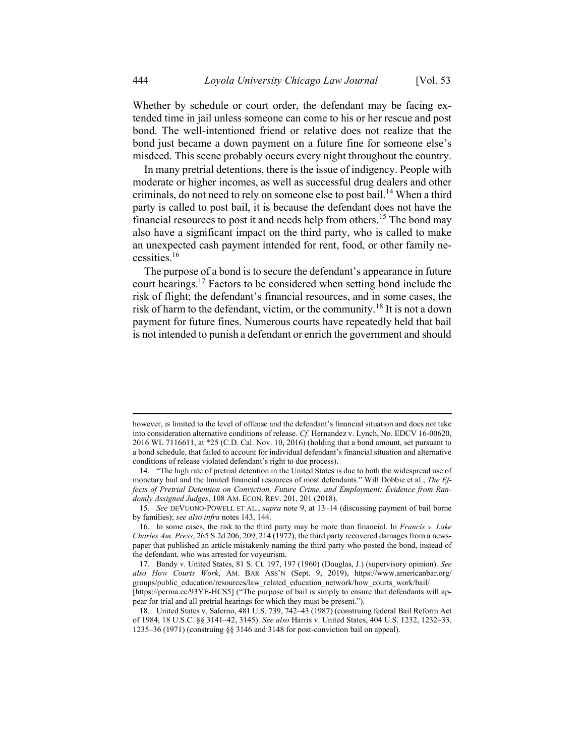Whether by schedule or court order, the defendant may be facing extended time in jail unless someone can come to his or her rescue and post bond. The well-intentioned friend or relative does not realize that the bond just became a down payment on a future fine for someone else's misdeed. This scene probably occurs every night throughout the country.

In many pretrial detentions, there is the issue of indigency. People with moderate or higher incomes, as well as successful drug dealers and other criminals, do not need to rely on someone else to post bail.<sup>14</sup> When a third party is called to post bail, it is because the defendant does not have the financial resources to post it and needs help from others.<sup>15</sup> The bond may also have a significant impact on the third party, who is called to make an unexpected cash payment intended for rent, food, or other family necessities. $16$ 

The purpose of a bond is to secure the defendant's appearance in future court hearings.<sup>17</sup> Factors to be considered when setting bond include the risk of flight; the defendant's financial resources, and in some cases, the risk of harm to the defendant, victim, or the community.<sup>18</sup> It is not a down payment for future fines. Numerous courts have repeatedly held that bail is not intended to punish a defendant or enrich the government and should

however, is limited to the level of offense and the defendant's financial situation and does not take into consideration alternative conditions of release. Cf. Hernandez v. Lynch, No. EDCV 16-00620, 2016 WL 7116611, at \*25 (C.D. Cal. Nov. 10, 2016) (holding that a bond amount, set pursuant to a bond schedule, that failed to account for individual defendant's financial situation and alternative conditions of release violated defendant's right to due process).

<sup>14. &</sup>quot;The high rate of pretrial detention in the United States is due to both the widespread use of monetary bail and the limited financial resources of most defendants." Will Dobbie et al., The Effects of Pretrial Detention on Conviction, Future Crime, and Employment: Evidence from Randomly Assigned Judges, 108 AM. ECON. REV. 201, 201 (2018).

<sup>15.</sup> See DEVUONO-POWELL ET AL., supra note 9, at 13–14 (discussing payment of bail borne by families); see also infra notes 143, 144.

<sup>16.</sup> In some cases, the risk to the third party may be more than financial. In Francis v. Lake Charles Am. Press, 265 S.2d 206, 209, 214 (1972), the third party recovered damages from a newspaper that published an article mistakenly naming the third party who posted the bond, instead of the defendant, who was arrested for voyeurism.

<sup>17.</sup> Bandy v. United States, 81 S. Ct. 197, 197 (1960) (Douglas, J.) (supervisory opinion). See also How Courts Work, AM. BAR ASS'N (Sept. 9, 2019), https://www.americanbar.org/ groups/public\_education/resources/law\_related\_education\_network/how\_courts\_work/bail/ [https://perma.cc/93YE-HCS5] ("The purpose of bail is simply to ensure that defendants will ap-

pear for trial and all pretrial hearings for which they must be present.").

<sup>18.</sup> United States v. Salerno, 481 U.S. 739, 742–43 (1987) (construing federal Bail Reform Act of 1984, 18 U.S.C. §§ 3141–42, 3145). See also Harris v. United States, 404 U.S. 1232, 1232–33, 1235–36 (1971) (construing §§ 3146 and 3148 for post-conviction bail on appeal).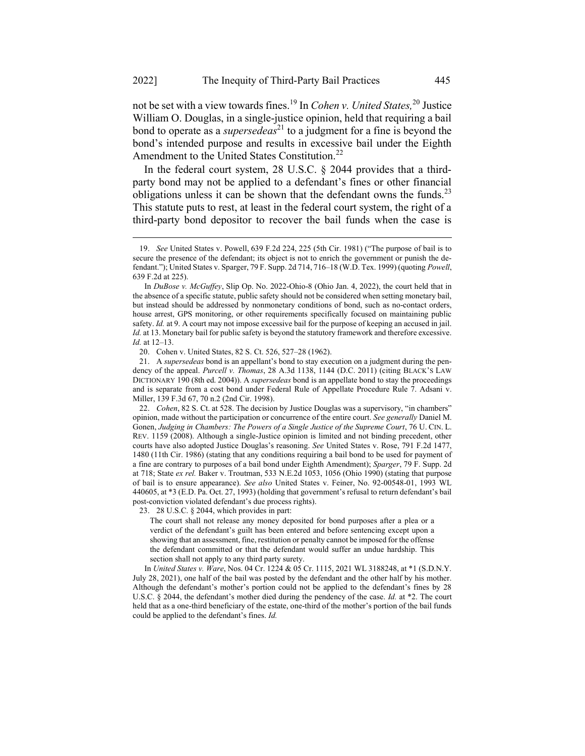not be set with a view towards fines.<sup>19</sup> In *Cohen v. United States*,<sup>20</sup> Justice William O. Douglas, in a single-justice opinion, held that requiring a bail bond to operate as a *supersedeas*<sup>21</sup> to a judgment for a fine is beyond the bond's intended purpose and results in excessive bail under the Eighth Amendment to the United States Constitution.<sup>22</sup>

In the federal court system, 28 U.S.C. § 2044 provides that a thirdparty bond may not be applied to a defendant's fines or other financial obligations unless it can be shown that the defendant owns the funds.<sup>23</sup> This statute puts to rest, at least in the federal court system, the right of a third-party bond depositor to recover the bail funds when the case is

22. *Cohen*, 82 S. Ct. at 528. The decision by Justice Douglas was a supervisory, "in chambers" opinion, made without the participation or concurrence of the entire court. See generally Daniel M. Gonen, Judging in Chambers: The Powers of a Single Justice of the Supreme Court, 76 U. CIN. L. REV. 1159 (2008). Although a single-Justice opinion is limited and not binding precedent, other courts have also adopted Justice Douglas's reasoning. See United States v. Rose, 791 F.2d 1477, 1480 (11th Cir. 1986) (stating that any conditions requiring a bail bond to be used for payment of a fine are contrary to purposes of a bail bond under Eighth Amendment); Sparger, 79 F. Supp. 2d at 718; State ex rel. Baker v. Troutman, 533 N.E.2d 1053, 1056 (Ohio 1990) (stating that purpose of bail is to ensure appearance). See also United States v. Feiner, No. 92-00548-01, 1993 WL 440605, at \*3 (E.D. Pa. Oct. 27, 1993) (holding that government's refusal to return defendant's bail post-conviction violated defendant's due process rights).

23. 28 U.S.C. § 2044, which provides in part:

The court shall not release any money deposited for bond purposes after a plea or a verdict of the defendant's guilt has been entered and before sentencing except upon a showing that an assessment, fine, restitution or penalty cannot be imposed for the offense the defendant committed or that the defendant would suffer an undue hardship. This section shall not apply to any third party surety.

In United States v. Ware, Nos. 04 Cr. 1224 & 05 Cr. 1115, 2021 WL 3188248, at \*1 (S.D.N.Y. July 28, 2021), one half of the bail was posted by the defendant and the other half by his mother. Although the defendant's mother's portion could not be applied to the defendant's fines by 28 U.S.C. § 2044, the defendant's mother died during the pendency of the case. Id. at  $*2$ . The court held that as a one-third beneficiary of the estate, one-third of the mother's portion of the bail funds could be applied to the defendant's fines. Id.

<sup>19.</sup> See United States v. Powell, 639 F.2d 224, 225 (5th Cir. 1981) ("The purpose of bail is to secure the presence of the defendant; its object is not to enrich the government or punish the defendant."); United States v. Sparger, 79 F. Supp. 2d 714, 716–18 (W.D. Tex. 1999) (quoting Powell, 639 F.2d at 225).

In DuBose v. McGuffey, Slip Op. No. 2022-Ohio-8 (Ohio Jan. 4, 2022), the court held that in the absence of a specific statute, public safety should not be considered when setting monetary bail, but instead should be addressed by nonmonetary conditions of bond, such as no-contact orders, house arrest, GPS monitoring, or other requirements specifically focused on maintaining public safety. Id. at 9. A court may not impose excessive bail for the purpose of keeping an accused in jail. Id. at 13. Monetary bail for public safety is beyond the statutory framework and therefore excessive. Id. at 12–13.

<sup>20.</sup> Cohen v. United States, 82 S. Ct. 526, 527–28 (1962).

<sup>21.</sup> A supersedeas bond is an appellant's bond to stay execution on a judgment during the pendency of the appeal. Purcell v. Thomas, 28 A.3d 1138, 1144 (D.C. 2011) (citing BLACK's LAW DICTIONARY 190 (8th ed. 2004)). A supersedeas bond is an appellate bond to stay the proceedings and is separate from a cost bond under Federal Rule of Appellate Procedure Rule 7. Adsani v. Miller, 139 F.3d 67, 70 n.2 (2nd Cir. 1998).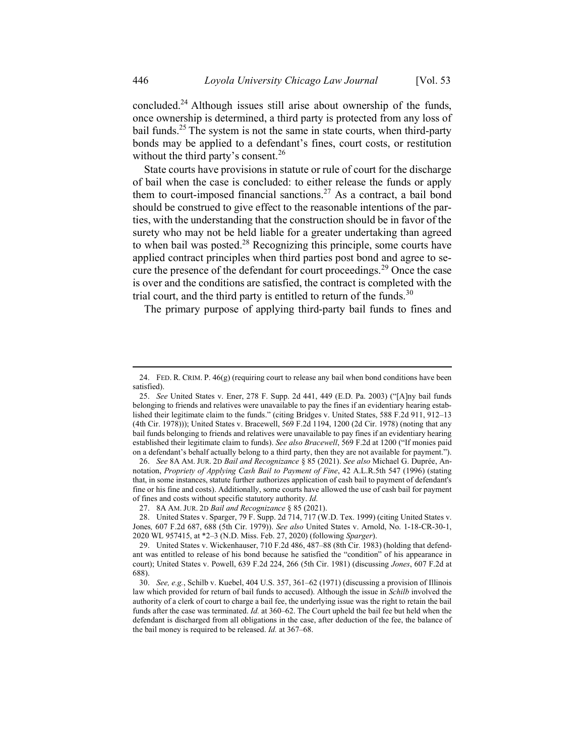concluded.<sup>24</sup> Although issues still arise about ownership of the funds, once ownership is determined, a third party is protected from any loss of bail funds.<sup>25</sup> The system is not the same in state courts, when third-party bonds may be applied to a defendant's fines, court costs, or restitution without the third party's consent.<sup>26</sup>

State courts have provisions in statute or rule of court for the discharge of bail when the case is concluded: to either release the funds or apply them to court-imposed financial sanctions.<sup>27</sup> As a contract, a bail bond should be construed to give effect to the reasonable intentions of the parties, with the understanding that the construction should be in favor of the surety who may not be held liable for a greater undertaking than agreed to when bail was posted. $^{28}$  Recognizing this principle, some courts have applied contract principles when third parties post bond and agree to secure the presence of the defendant for court proceedings.<sup>29</sup> Once the case is over and the conditions are satisfied, the contract is completed with the trial court, and the third party is entitled to return of the funds.<sup>30</sup>

The primary purpose of applying third-party bail funds to fines and

<sup>24.</sup> FED. R. CRIM. P. 46(g) (requiring court to release any bail when bond conditions have been satisfied).

<sup>25.</sup> See United States v. Ener, 278 F. Supp. 2d 441, 449 (E.D. Pa. 2003) ("[A]ny bail funds belonging to friends and relatives were unavailable to pay the fines if an evidentiary hearing established their legitimate claim to the funds." (citing Bridges v. United States, 588 F.2d 911, 912–13 (4th Cir. 1978))); United States v. Bracewell, 569 F.2d 1194, 1200 (2d Cir. 1978) (noting that any bail funds belonging to friends and relatives were unavailable to pay fines if an evidentiary hearing established their legitimate claim to funds). See also Bracewell, 569 F.2d at 1200 ("If monies paid on a defendant's behalf actually belong to a third party, then they are not available for payment.").

<sup>26.</sup> See 8A AM. JUR. 2D Bail and Recognizance § 85 (2021). See also Michael G. Duprée, Annotation, Propriety of Applying Cash Bail to Payment of Fine, 42 A.L.R.5th 547 (1996) (stating that, in some instances, statute further authorizes application of cash bail to payment of defendant's fine or his fine and costs). Additionally, some courts have allowed the use of cash bail for payment of fines and costs without specific statutory authority. Id.

<sup>27. 8</sup>A AM. JUR. 2D Bail and Recognizance § 85 (2021).

<sup>28.</sup> United States v. Sparger, 79 F. Supp. 2d 714, 717 (W.D. Tex. 1999) (citing United States v. Jones, 607 F.2d 687, 688 (5th Cir. 1979)). See also United States v. Arnold, No. 1-18-CR-30-1, 2020 WL 957415, at \*2–3 (N.D. Miss. Feb. 27, 2020) (following Sparger).

<sup>29.</sup> United States v. Wickenhauser, 710 F.2d 486, 487–88 (8th Cir. 1983) (holding that defendant was entitled to release of his bond because he satisfied the "condition" of his appearance in court); United States v. Powell, 639 F.2d 224, 266 (5th Cir. 1981) (discussing Jones, 607 F.2d at 688).

<sup>30.</sup> See, e.g., Schilb v. Kuebel, 404 U.S. 357, 361–62 (1971) (discussing a provision of Illinois law which provided for return of bail funds to accused). Although the issue in *Schilb* involved the authority of a clerk of court to charge a bail fee, the underlying issue was the right to retain the bail funds after the case was terminated. Id. at 360–62. The Court upheld the bail fee but held when the defendant is discharged from all obligations in the case, after deduction of the fee, the balance of the bail money is required to be released. Id. at 367-68.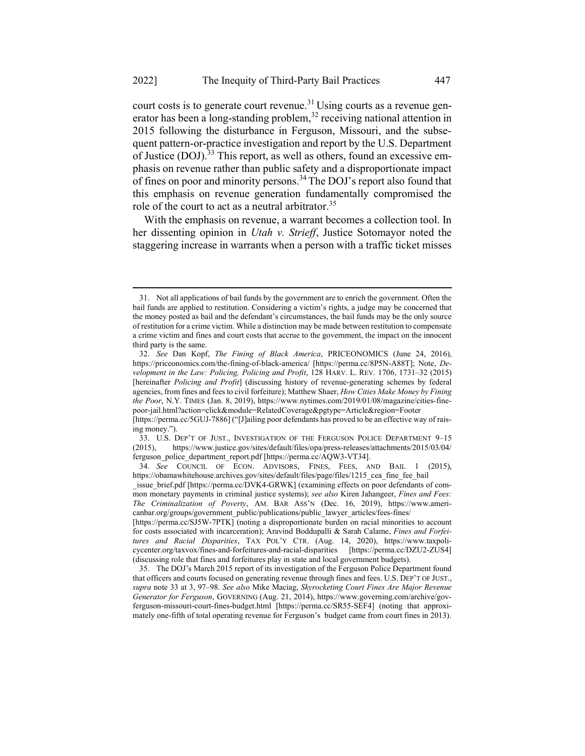court costs is to generate court revenue.<sup>31</sup> Using courts as a revenue generator has been a long-standing problem,  $32$  receiving national attention in 2015 following the disturbance in Ferguson, Missouri, and the subsequent pattern-or-practice investigation and report by the U.S. Department of Justice (DOJ).<sup>33</sup> This report, as well as others, found an excessive emphasis on revenue rather than public safety and a disproportionate impact of fines on poor and minority persons.<sup>34</sup> The DOJ's report also found that this emphasis on revenue generation fundamentally compromised the role of the court to act as a neutral arbitrator.<sup>35</sup>

With the emphasis on revenue, a warrant becomes a collection tool. In her dissenting opinion in Utah v. Strieff, Justice Sotomayor noted the staggering increase in warrants when a person with a traffic ticket misses

<sup>31.</sup> Not all applications of bail funds by the government are to enrich the government. Often the bail funds are applied to restitution. Considering a victim's rights, a judge may be concerned that the money posted as bail and the defendant's circumstances, the bail funds may be the only source of restitution for a crime victim. While a distinction may be made between restitution to compensate a crime victim and fines and court costs that accrue to the government, the impact on the innocent third party is the same.

<sup>32.</sup> See Dan Kopf, The Fining of Black America, PRICEONOMICS (June 24, 2016), https://priceonomics.com/the-fining-of-black-america/ [https://perma.cc/8P5N-A88T]; Note, Development in the Law: Policing, Policing and Profit, 128 HARV. L. REV. 1706, 1731–32 (2015) [hereinafter Policing and Profit] (discussing history of revenue-generating schemes by federal agencies, from fines and fees to civil forfeiture); Matthew Shaer, How Cities Make Money by Fining the Poor, N.Y. TIMES (Jan. 8, 2019), https://www.nytimes.com/2019/01/08/magazine/cities-finepoor-jail.html?action=click&module=RelatedCoverage&pgtype=Article&region=Footer

<sup>[</sup>https://perma.cc/5GUJ-7886] ("[J]ailing poor defendants has proved to be an effective way of raising money.").

<sup>33.</sup> U.S. DEP'T OF JUST., INVESTIGATION OF THE FERGUSON POLICE DEPARTMENT 9–15 (2015), https://www.justice.gov/sites/default/files/opa/press-releases/attachments/2015/03/04/ ferguson\_police\_department\_report.pdf [https://perma.cc/AQW3-VT34].

<sup>34.</sup> See COUNCIL OF ECON. ADVISORS, FINES, FEES, AND BAIL 1 (2015), https://obamawhitehouse.archives.gov/sites/default/files/page/files/1215 cea fine fee bail

issue brief.pdf [https://perma.cc/DVK4-GRWK] (examining effects on poor defendants of common monetary payments in criminal justice systems); see also Kiren Jahangeer, Fines and Fees: The Criminalization of Poverty, AM. BAR ASS'N (Dec. 16, 2019), https://www.americanbar.org/groups/government\_public/publications/public\_lawyer\_articles/fees-fines/

<sup>[</sup>https://perma.cc/SJ5W-7PTK] (noting a disproportionate burden on racial minorities to account for costs associated with incarceration); Aravind Boddupalli & Sarah Calame, Fines and Forfeitures and Racial Disparities, TAX POL'Y CTR. (Aug. 14, 2020), https://www.taxpolicycenter.org/taxvox/fines-and-forfeitures-and-racial-disparities [https://perma.cc/DZU2-ZUS4] (discussing role that fines and forfeitures play in state and local government budgets).

<sup>35.</sup> The DOJ's March 2015 report of its investigation of the Ferguson Police Department found that officers and courts focused on generating revenue through fines and fees. U.S. DEP'T OF JUST., supra note 33 at 3, 97–98. See also Mike Maciag, Skyrocketing Court Fines Are Major Revenue Generator for Ferguson, GOVERNING (Aug. 21, 2014), https://www.governing.com/archive/govferguson-missouri-court-fines-budget.html [https://perma.cc/SR55-SEF4] (noting that approximately one-fifth of total operating revenue for Ferguson's budget came from court fines in 2013).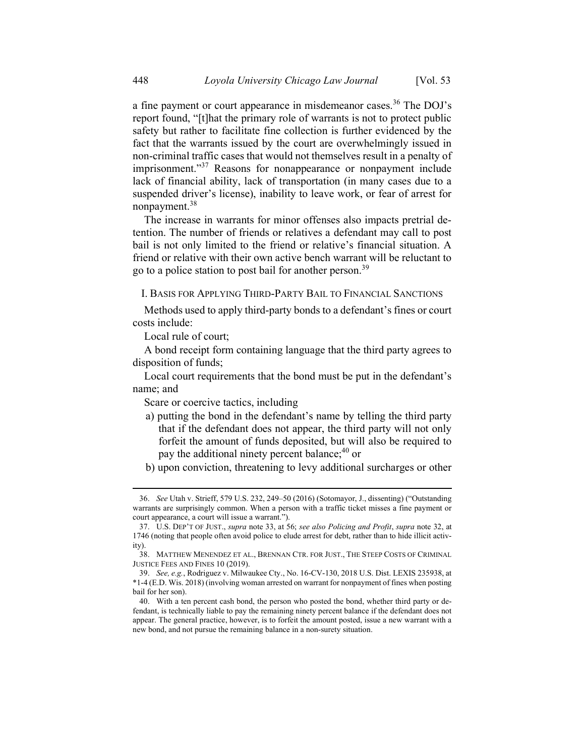a fine payment or court appearance in misdemeanor cases.<sup>36</sup> The DOJ's report found, "[t]hat the primary role of warrants is not to protect public safety but rather to facilitate fine collection is further evidenced by the fact that the warrants issued by the court are overwhelmingly issued in non-criminal traffic cases that would not themselves result in a penalty of imprisonment."<sup>37</sup> Reasons for nonappearance or nonpayment include lack of financial ability, lack of transportation (in many cases due to a suspended driver's license), inability to leave work, or fear of arrest for nonpayment.<sup>38</sup>

The increase in warrants for minor offenses also impacts pretrial detention. The number of friends or relatives a defendant may call to post bail is not only limited to the friend or relative's financial situation. A friend or relative with their own active bench warrant will be reluctant to go to a police station to post bail for another person.<sup>39</sup>

## I. BASIS FOR APPLYING THIRD-PARTY BAIL TO FINANCIAL SANCTIONS

Methods used to apply third-party bonds to a defendant's fines or court costs include:

Local rule of court;

A bond receipt form containing language that the third party agrees to disposition of funds;

Local court requirements that the bond must be put in the defendant's name; and

Scare or coercive tactics, including

- a) putting the bond in the defendant's name by telling the third party that if the defendant does not appear, the third party will not only forfeit the amount of funds deposited, but will also be required to pay the additional ninety percent balance; $40$  or
- b) upon conviction, threatening to levy additional surcharges or other

<sup>36.</sup> See Utah v. Strieff, 579 U.S. 232, 249–50 (2016) (Sotomayor, J., dissenting) ("Outstanding warrants are surprisingly common. When a person with a traffic ticket misses a fine payment or court appearance, a court will issue a warrant.").

<sup>37.</sup> U.S. DEP'T OF JUST., supra note 33, at 56; see also Policing and Profit, supra note 32, at 1746 (noting that people often avoid police to elude arrest for debt, rather than to hide illicit activity).

<sup>38.</sup> MATTHEW MENENDEZ ET AL., BRENNAN CTR. FOR JUST., THE STEEP COSTS OF CRIMINAL JUSTICE FEES AND FINES 10 (2019).

<sup>39.</sup> See, e.g., Rodriguez v. Milwaukee Cty., No. 16-CV-130, 2018 U.S. Dist. LEXIS 235938, at \*1-4 (E.D. Wis. 2018) (involving woman arrested on warrant for nonpayment of fines when posting bail for her son).

<sup>40.</sup> With a ten percent cash bond, the person who posted the bond, whether third party or defendant, is technically liable to pay the remaining ninety percent balance if the defendant does not appear. The general practice, however, is to forfeit the amount posted, issue a new warrant with a new bond, and not pursue the remaining balance in a non-surety situation.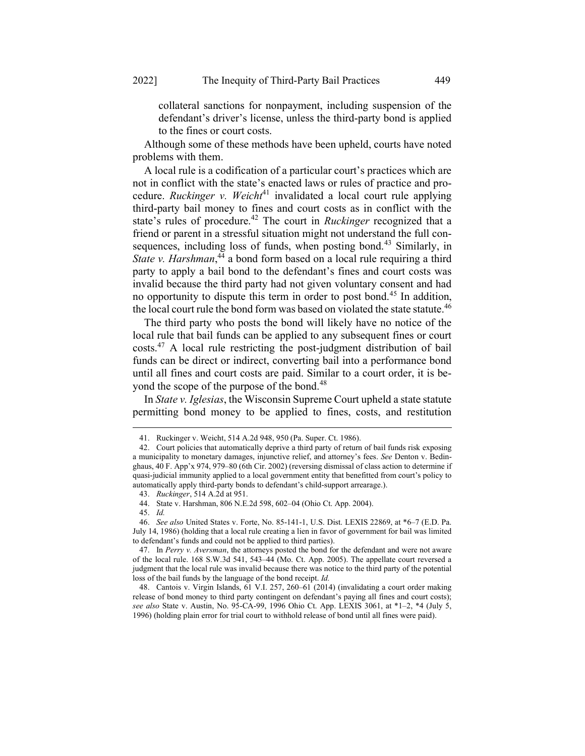collateral sanctions for nonpayment, including suspension of the defendant's driver's license, unless the third-party bond is applied to the fines or court costs.

Although some of these methods have been upheld, courts have noted problems with them.

A local rule is a codification of a particular court's practices which are not in conflict with the state's enacted laws or rules of practice and procedure. Ruckinger v. Weicht<sup>41</sup> invalidated a local court rule applying third-party bail money to fines and court costs as in conflict with the state's rules of procedure.<sup>42</sup> The court in *Ruckinger* recognized that a friend or parent in a stressful situation might not understand the full consequences, including loss of funds, when posting bond.<sup>43</sup> Similarly, in State v. Harshman,  $4\overline{4}$  a bond form based on a local rule requiring a third party to apply a bail bond to the defendant's fines and court costs was invalid because the third party had not given voluntary consent and had no opportunity to dispute this term in order to post bond.<sup>45</sup> In addition, the local court rule the bond form was based on violated the state statute.<sup>46</sup>

The third party who posts the bond will likely have no notice of the local rule that bail funds can be applied to any subsequent fines or court costs.<sup>47</sup> A local rule restricting the post-judgment distribution of bail funds can be direct or indirect, converting bail into a performance bond until all fines and court costs are paid. Similar to a court order, it is beyond the scope of the purpose of the bond.<sup>48</sup>

In State v. Iglesias, the Wisconsin Supreme Court upheld a state statute permitting bond money to be applied to fines, costs, and restitution

<sup>41.</sup> Ruckinger v. Weicht, 514 A.2d 948, 950 (Pa. Super. Ct. 1986).

<sup>42.</sup> Court policies that automatically deprive a third party of return of bail funds risk exposing a municipality to monetary damages, injunctive relief, and attorney's fees. See Denton v. Bedinghaus, 40 F. App'x 974, 979–80 (6th Cir. 2002) (reversing dismissal of class action to determine if quasi-judicial immunity applied to a local government entity that benefitted from court's policy to automatically apply third-party bonds to defendant's child-support arrearage.).

<sup>43.</sup> Ruckinger, 514 A.2d at 951.

<sup>44.</sup> State v. Harshman, 806 N.E.2d 598, 602–04 (Ohio Ct. App. 2004).

<sup>45.</sup> Id.

<sup>46.</sup> See also United States v. Forte, No. 85-141-1, U.S. Dist. LEXIS 22869, at \*6–7 (E.D. Pa. July 14, 1986) (holding that a local rule creating a lien in favor of government for bail was limited to defendant's funds and could not be applied to third parties).

<sup>47.</sup> In Perry v. Aversman, the attorneys posted the bond for the defendant and were not aware of the local rule. 168 S.W.3d 541, 543–44 (Mo. Ct. App. 2005). The appellate court reversed a judgment that the local rule was invalid because there was notice to the third party of the potential loss of the bail funds by the language of the bond receipt. Id.

<sup>48.</sup> Cantois v. Virgin Islands, 61 V.I. 257, 260–61 (2014) (invalidating a court order making release of bond money to third party contingent on defendant's paying all fines and court costs); see also State v. Austin, No. 95-CA-99, 1996 Ohio Ct. App. LEXIS 3061, at \*1-2, \*4 (July 5, 1996) (holding plain error for trial court to withhold release of bond until all fines were paid).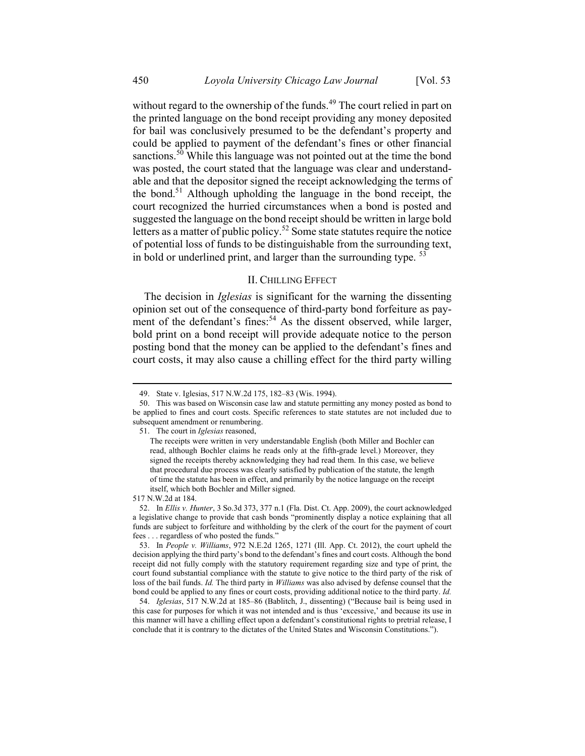without regard to the ownership of the funds.<sup>49</sup> The court relied in part on the printed language on the bond receipt providing any money deposited for bail was conclusively presumed to be the defendant's property and could be applied to payment of the defendant's fines or other financial sanctions.<sup>50</sup> While this language was not pointed out at the time the bond was posted, the court stated that the language was clear and understandable and that the depositor signed the receipt acknowledging the terms of the bond.<sup>51</sup> Although upholding the language in the bond receipt, the court recognized the hurried circumstances when a bond is posted and suggested the language on the bond receipt should be written in large bold letters as a matter of public policy.<sup>52</sup> Some state statutes require the notice of potential loss of funds to be distinguishable from the surrounding text, in bold or underlined print, and larger than the surrounding type.  $53$ 

### II. CHILLING EFFECT

The decision in *Iglesias* is significant for the warning the dissenting opinion set out of the consequence of third-party bond forfeiture as payment of the defendant's fines:<sup>54</sup> As the dissent observed, while larger, bold print on a bond receipt will provide adequate notice to the person posting bond that the money can be applied to the defendant's fines and court costs, it may also cause a chilling effect for the third party willing

517 N.W.2d at 184.

<sup>49.</sup> State v. Iglesias, 517 N.W.2d 175, 182–83 (Wis. 1994).

<sup>50.</sup> This was based on Wisconsin case law and statute permitting any money posted as bond to be applied to fines and court costs. Specific references to state statutes are not included due to subsequent amendment or renumbering.

<sup>51.</sup> The court in Iglesias reasoned,

The receipts were written in very understandable English (both Miller and Bochler can read, although Bochler claims he reads only at the fifth-grade level.) Moreover, they signed the receipts thereby acknowledging they had read them. In this case, we believe that procedural due process was clearly satisfied by publication of the statute, the length of time the statute has been in effect, and primarily by the notice language on the receipt itself, which both Bochler and Miller signed.

<sup>52.</sup> In Ellis v. Hunter, 3 So.3d 373, 377 n.1 (Fla. Dist. Ct. App. 2009), the court acknowledged a legislative change to provide that cash bonds "prominently display a notice explaining that all funds are subject to forfeiture and withholding by the clerk of the court for the payment of court fees . . . regardless of who posted the funds."

<sup>53.</sup> In People v. Williams, 972 N.E.2d 1265, 1271 (Ill. App. Ct. 2012), the court upheld the decision applying the third party's bond to the defendant's fines and court costs. Although the bond receipt did not fully comply with the statutory requirement regarding size and type of print, the court found substantial compliance with the statute to give notice to the third party of the risk of loss of the bail funds. Id. The third party in Williams was also advised by defense counsel that the bond could be applied to any fines or court costs, providing additional notice to the third party. Id.

<sup>54.</sup> Iglesias, 517 N.W.2d at 185–86 (Bablitch, J., dissenting) ("Because bail is being used in this case for purposes for which it was not intended and is thus 'excessive,' and because its use in this manner will have a chilling effect upon a defendant's constitutional rights to pretrial release, I conclude that it is contrary to the dictates of the United States and Wisconsin Constitutions.").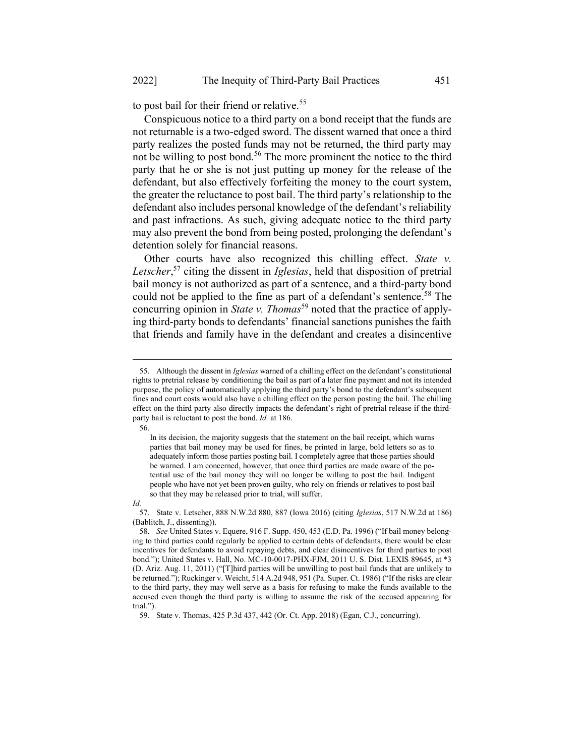to post bail for their friend or relative.<sup>55</sup>

Conspicuous notice to a third party on a bond receipt that the funds are not returnable is a two-edged sword. The dissent warned that once a third party realizes the posted funds may not be returned, the third party may not be willing to post bond.<sup>56</sup> The more prominent the notice to the third party that he or she is not just putting up money for the release of the defendant, but also effectively forfeiting the money to the court system, the greater the reluctance to post bail. The third party's relationship to the defendant also includes personal knowledge of the defendant's reliability and past infractions. As such, giving adequate notice to the third party may also prevent the bond from being posted, prolonging the defendant's detention solely for financial reasons.

Other courts have also recognized this chilling effect. State  $v$ . Letscher,<sup>57</sup> citing the dissent in Iglesias, held that disposition of pretrial bail money is not authorized as part of a sentence, and a third-party bond could not be applied to the fine as part of a defendant's sentence.<sup>58</sup> The concurring opinion in *State v. Thomas*<sup>59</sup> noted that the practice of applying third-party bonds to defendants' financial sanctions punishes the faith that friends and family have in the defendant and creates a disincentive

56.

Id.

59. State v. Thomas, 425 P.3d 437, 442 (Or. Ct. App. 2018) (Egan, C.J., concurring).

<sup>55.</sup> Although the dissent in Iglesias warned of a chilling effect on the defendant's constitutional rights to pretrial release by conditioning the bail as part of a later fine payment and not its intended purpose, the policy of automatically applying the third party's bond to the defendant's subsequent fines and court costs would also have a chilling effect on the person posting the bail. The chilling effect on the third party also directly impacts the defendant's right of pretrial release if the thirdparty bail is reluctant to post the bond. Id. at 186.

In its decision, the majority suggests that the statement on the bail receipt, which warns parties that bail money may be used for fines, be printed in large, bold letters so as to adequately inform those parties posting bail. I completely agree that those parties should be warned. I am concerned, however, that once third parties are made aware of the potential use of the bail money they will no longer be willing to post the bail. Indigent people who have not yet been proven guilty, who rely on friends or relatives to post bail so that they may be released prior to trial, will suffer.

<sup>57.</sup> State v. Letscher, 888 N.W.2d 880, 887 (Iowa 2016) (citing Iglesias, 517 N.W.2d at 186) (Bablitch, J., dissenting)).

<sup>58.</sup> See United States v. Equere, 916 F. Supp. 450, 453 (E.D. Pa. 1996) ("If bail money belonging to third parties could regularly be applied to certain debts of defendants, there would be clear incentives for defendants to avoid repaying debts, and clear disincentives for third parties to post bond."); United States v. Hall, No. MC-10-0017-PHX-FJM, 2011 U. S. Dist. LEXIS 89645, at \*3 (D. Ariz. Aug. 11, 2011) ("[T]hird parties will be unwilling to post bail funds that are unlikely to be returned."); Ruckinger v. Weicht, 514 A.2d 948, 951 (Pa. Super. Ct. 1986) ("If the risks are clear to the third party, they may well serve as a basis for refusing to make the funds available to the accused even though the third party is willing to assume the risk of the accused appearing for trial.").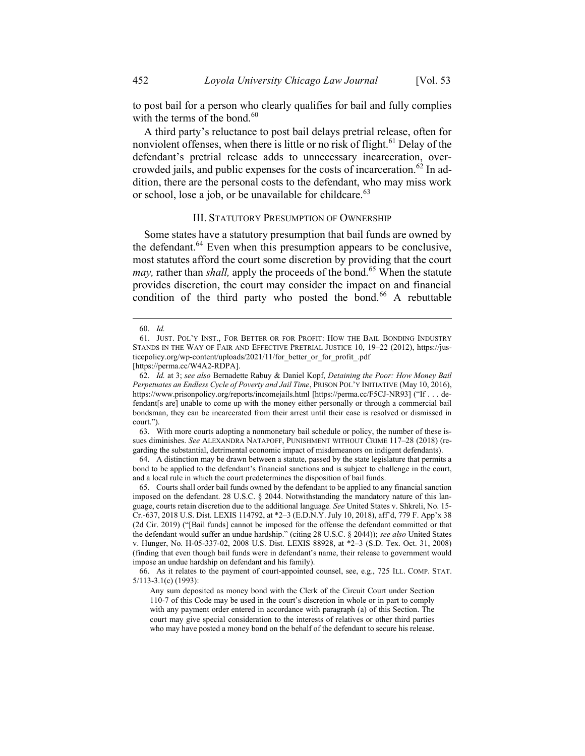to post bail for a person who clearly qualifies for bail and fully complies with the terms of the bond.<sup>60</sup>

A third party's reluctance to post bail delays pretrial release, often for nonviolent offenses, when there is little or no risk of flight.<sup>61</sup> Delay of the defendant's pretrial release adds to unnecessary incarceration, overcrowded jails, and public expenses for the costs of incarceration.<sup>62</sup> In addition, there are the personal costs to the defendant, who may miss work or school, lose a job, or be unavailable for childcare. $^{63}$ 

#### III. STATUTORY PRESUMPTION OF OWNERSHIP

Some states have a statutory presumption that bail funds are owned by the defendant. $64$  Even when this presumption appears to be conclusive, most statutes afford the court some discretion by providing that the court *may*, rather than *shall*, apply the proceeds of the bond.<sup>65</sup> When the statute provides discretion, the court may consider the impact on and financial condition of the third party who posted the bond.<sup>66</sup> A rebuttable

63. With more courts adopting a nonmonetary bail schedule or policy, the number of these issues diminishes. See ALEXANDRA NATAPOFF, PUNISHMENT WITHOUT CRIME 117-28 (2018) (regarding the substantial, detrimental economic impact of misdemeanors on indigent defendants).

64. A distinction may be drawn between a statute, passed by the state legislature that permits a bond to be applied to the defendant's financial sanctions and is subject to challenge in the court, and a local rule in which the court predetermines the disposition of bail funds.

65. Courts shall order bail funds owned by the defendant to be applied to any financial sanction imposed on the defendant. 28 U.S.C. § 2044. Notwithstanding the mandatory nature of this language, courts retain discretion due to the additional language. See United States v. Shkreli, No. 15- Cr.-637, 2018 U.S. Dist. LEXIS 114792, at \*2–3 (E.D.N.Y. July 10, 2018), aff'd, 779 F. App'x 38 (2d Cir. 2019) ("[Bail funds] cannot be imposed for the offense the defendant committed or that the defendant would suffer an undue hardship." (citing 28 U.S.C. § 2044)); see also United States v. Hunger, No. H-05-337-02, 2008 U.S. Dist. LEXIS 88928, at \*2–3 (S.D. Tex. Oct. 31, 2008) (finding that even though bail funds were in defendant's name, their release to government would impose an undue hardship on defendant and his family).

66. As it relates to the payment of court-appointed counsel, see, e.g., 725 ILL. COMP. STAT. 5/113-3.1(c) (1993):

<sup>60.</sup> Id.

<sup>61.</sup> JUST. POL'Y INST., FOR BETTER OR FOR PROFIT: HOW THE BAIL BONDING INDUSTRY STANDS IN THE WAY OF FAIR AND EFFECTIVE PRETRIAL JUSTICE 10, 19–22 (2012), https://justicepolicy.org/wp-content/uploads/2021/11/for\_better\_or\_for\_profit\_.pdf

<sup>[</sup>https://perma.cc/W4A2-RDPA].

<sup>62.</sup> Id. at 3; see also Bernadette Rabuy & Daniel Kopf, Detaining the Poor: How Money Bail Perpetuates an Endless Cycle of Poverty and Jail Time, PRISON POL'Y INITIATIVE (May 10, 2016), https://www.prisonpolicy.org/reports/incomejails.html [https://perma.cc/F5CJ-NR93] ("If . . . defendant[s are] unable to come up with the money either personally or through a commercial bail bondsman, they can be incarcerated from their arrest until their case is resolved or dismissed in court.").

Any sum deposited as money bond with the Clerk of the Circuit Court under Section 110-7 of this Code may be used in the court's discretion in whole or in part to comply with any payment order entered in accordance with paragraph (a) of this Section. The court may give special consideration to the interests of relatives or other third parties who may have posted a money bond on the behalf of the defendant to secure his release.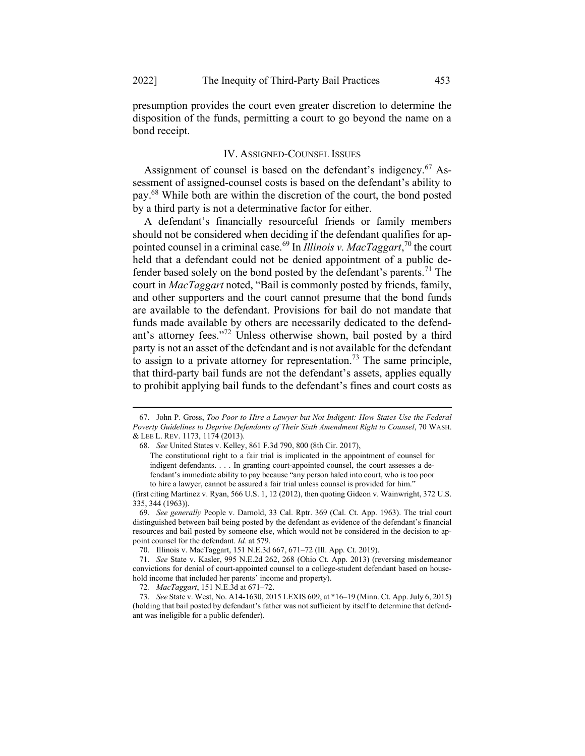presumption provides the court even greater discretion to determine the disposition of the funds, permitting a court to go beyond the name on a bond receipt.

#### IV. ASSIGNED-COUNSEL ISSUES

Assignment of counsel is based on the defendant's indigency.<sup>67</sup> Assessment of assigned-counsel costs is based on the defendant's ability to pay.<sup>68</sup> While both are within the discretion of the court, the bond posted by a third party is not a determinative factor for either.

A defendant's financially resourceful friends or family members should not be considered when deciding if the defendant qualifies for appointed counsel in a criminal case.<sup>69</sup> In *Illinois v. MacTaggart*,<sup>70</sup> the court held that a defendant could not be denied appointment of a public defender based solely on the bond posted by the defendant's parents.<sup>71</sup> The court in *MacTaggart* noted, "Bail is commonly posted by friends, family, and other supporters and the court cannot presume that the bond funds are available to the defendant. Provisions for bail do not mandate that funds made available by others are necessarily dedicated to the defendant's attorney fees."<sup>72</sup> Unless otherwise shown, bail posted by a third party is not an asset of the defendant and is not available for the defendant to assign to a private attorney for representation.<sup>73</sup> The same principle, that third-party bail funds are not the defendant's assets, applies equally to prohibit applying bail funds to the defendant's fines and court costs as

<sup>67.</sup> John P. Gross, Too Poor to Hire a Lawyer but Not Indigent: How States Use the Federal Poverty Guidelines to Deprive Defendants of Their Sixth Amendment Right to Counsel, 70 WASH. & LEE L. REV. 1173, 1174 (2013).

<sup>68.</sup> See United States v. Kelley, 861 F.3d 790, 800 (8th Cir. 2017),

The constitutional right to a fair trial is implicated in the appointment of counsel for indigent defendants. . . . In granting court-appointed counsel, the court assesses a defendant's immediate ability to pay because "any person haled into court, who is too poor to hire a lawyer, cannot be assured a fair trial unless counsel is provided for him."

<sup>(</sup>first citing Martinez v. Ryan, 566 U.S. 1, 12 (2012), then quoting Gideon v. Wainwright, 372 U.S. 335, 344 (1963)).

<sup>69.</sup> See generally People v. Darnold, 33 Cal. Rptr. 369 (Cal. Ct. App. 1963). The trial court distinguished between bail being posted by the defendant as evidence of the defendant's financial resources and bail posted by someone else, which would not be considered in the decision to appoint counsel for the defendant. Id. at 579.

<sup>70.</sup> Illinois v. MacTaggart, 151 N.E.3d 667, 671–72 (Ill. App. Ct. 2019).

<sup>71.</sup> See State v. Kasler, 995 N.E.2d 262, 268 (Ohio Ct. App. 2013) (reversing misdemeanor convictions for denial of court-appointed counsel to a college-student defendant based on household income that included her parents' income and property).

<sup>72</sup>. MacTaggart, 151 N.E.3d at 671–72.

<sup>73.</sup> See State v. West, No. A14-1630, 2015 LEXIS 609, at \*16–19 (Minn. Ct. App. July 6, 2015) (holding that bail posted by defendant's father was not sufficient by itself to determine that defendant was ineligible for a public defender).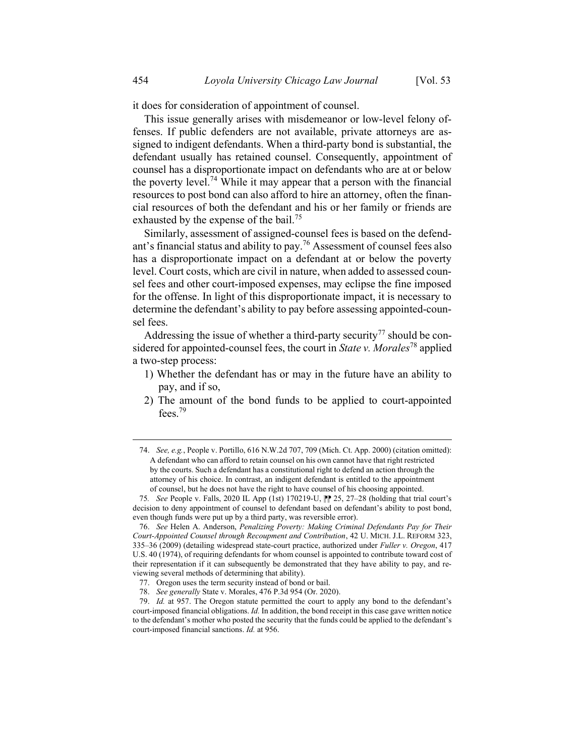it does for consideration of appointment of counsel.

This issue generally arises with misdemeanor or low-level felony offenses. If public defenders are not available, private attorneys are assigned to indigent defendants. When a third-party bond is substantial, the defendant usually has retained counsel. Consequently, appointment of counsel has a disproportionate impact on defendants who are at or below the poverty level.<sup>74</sup> While it may appear that a person with the financial resources to post bond can also afford to hire an attorney, often the financial resources of both the defendant and his or her family or friends are exhausted by the expense of the bail.<sup>75</sup>

Similarly, assessment of assigned-counsel fees is based on the defendant's financial status and ability to pay.<sup>76</sup> Assessment of counsel fees also has a disproportionate impact on a defendant at or below the poverty level. Court costs, which are civil in nature, when added to assessed counsel fees and other court-imposed expenses, may eclipse the fine imposed for the offense. In light of this disproportionate impact, it is necessary to determine the defendant's ability to pay before assessing appointed-counsel fees.

Addressing the issue of whether a third-party security<sup>77</sup> should be considered for appointed-counsel fees, the court in *State v. Morales*<sup>78</sup> applied a two-step process:

- 1) Whether the defendant has or may in the future have an ability to pay, and if so,
- 2) The amount of the bond funds to be applied to court-appointed fees.<sup>79</sup>

76. See Helen A. Anderson, Penalizing Poverty: Making Criminal Defendants Pay for Their Court-Appointed Counsel through Recoupment and Contribution, 42 U. MICH. J.L. REFORM 323, 335–36 (2009) (detailing widespread state-court practice, authorized under Fuller v. Oregon, 417 U.S. 40 (1974), of requiring defendants for whom counsel is appointed to contribute toward cost of their representation if it can subsequently be demonstrated that they have ability to pay, and reviewing several methods of determining that ability).

<sup>74.</sup> See, e.g., People v. Portillo, 616 N.W.2d 707, 709 (Mich. Ct. App. 2000) (citation omitted): A defendant who can afford to retain counsel on his own cannot have that right restricted by the courts. Such a defendant has a constitutional right to defend an action through the attorney of his choice. In contrast, an indigent defendant is entitled to the appointment of counsel, but he does not have the right to have counsel of his choosing appointed.

<sup>75.</sup> See People v. Falls, 2020 IL App (1st) 170219-U,  $\|$  25, 27–28 (holding that trial court's decision to deny appointment of counsel to defendant based on defendant's ability to post bond, even though funds were put up by a third party, was reversible error).

<sup>77.</sup> Oregon uses the term security instead of bond or bail.

<sup>78.</sup> See generally State v. Morales, 476 P.3d 954 (Or. 2020).

<sup>79.</sup> Id. at 957. The Oregon statute permitted the court to apply any bond to the defendant's court-imposed financial obligations. Id. In addition, the bond receipt in this case gave written notice to the defendant's mother who posted the security that the funds could be applied to the defendant's court-imposed financial sanctions. Id. at 956.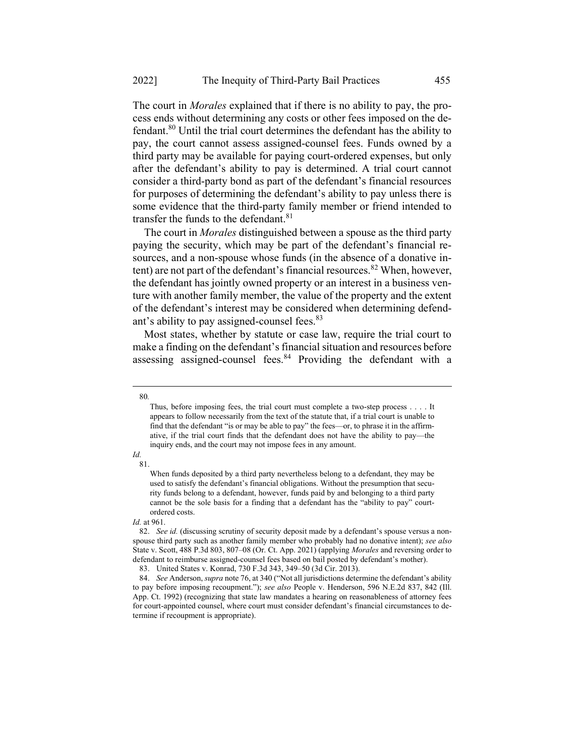The court in *Morales* explained that if there is no ability to pay, the process ends without determining any costs or other fees imposed on the defendant.<sup>80</sup> Until the trial court determines the defendant has the ability to pay, the court cannot assess assigned-counsel fees. Funds owned by a third party may be available for paying court-ordered expenses, but only after the defendant's ability to pay is determined. A trial court cannot consider a third-party bond as part of the defendant's financial resources for purposes of determining the defendant's ability to pay unless there is some evidence that the third-party family member or friend intended to transfer the funds to the defendant.<sup>81</sup>

The court in Morales distinguished between a spouse as the third party paying the security, which may be part of the defendant's financial resources, and a non-spouse whose funds (in the absence of a donative intent) are not part of the defendant's financial resources.<sup>82</sup> When, however, the defendant has jointly owned property or an interest in a business venture with another family member, the value of the property and the extent of the defendant's interest may be considered when determining defendant's ability to pay assigned-counsel fees.<sup>83</sup>

Most states, whether by statute or case law, require the trial court to make a finding on the defendant's financial situation and resources before assessing assigned-counsel fees.<sup>84</sup> Providing the defendant with a

#### 80.

#### Id. 81.

Thus, before imposing fees, the trial court must complete a two-step process . . . . It appears to follow necessarily from the text of the statute that, if a trial court is unable to find that the defendant "is or may be able to pay" the fees—or, to phrase it in the affirmative, if the trial court finds that the defendant does not have the ability to pay—the inquiry ends, and the court may not impose fees in any amount.

When funds deposited by a third party nevertheless belong to a defendant, they may be used to satisfy the defendant's financial obligations. Without the presumption that security funds belong to a defendant, however, funds paid by and belonging to a third party cannot be the sole basis for a finding that a defendant has the "ability to pay" courtordered costs.

Id. at 961.

<sup>82.</sup> See id. (discussing scrutiny of security deposit made by a defendant's spouse versus a nonspouse third party such as another family member who probably had no donative intent); see also State v. Scott, 488 P.3d 803, 807–08 (Or. Ct. App. 2021) (applying Morales and reversing order to defendant to reimburse assigned-counsel fees based on bail posted by defendant's mother).

<sup>83.</sup> United States v. Konrad, 730 F.3d 343, 349–50 (3d Cir. 2013).

<sup>84.</sup> See Anderson, supra note 76, at 340 ("Not all jurisdictions determine the defendant's ability to pay before imposing recoupment."); see also People v. Henderson, 596 N.E.2d 837, 842 (III. App. Ct. 1992) (recognizing that state law mandates a hearing on reasonableness of attorney fees for court-appointed counsel, where court must consider defendant's financial circumstances to determine if recoupment is appropriate).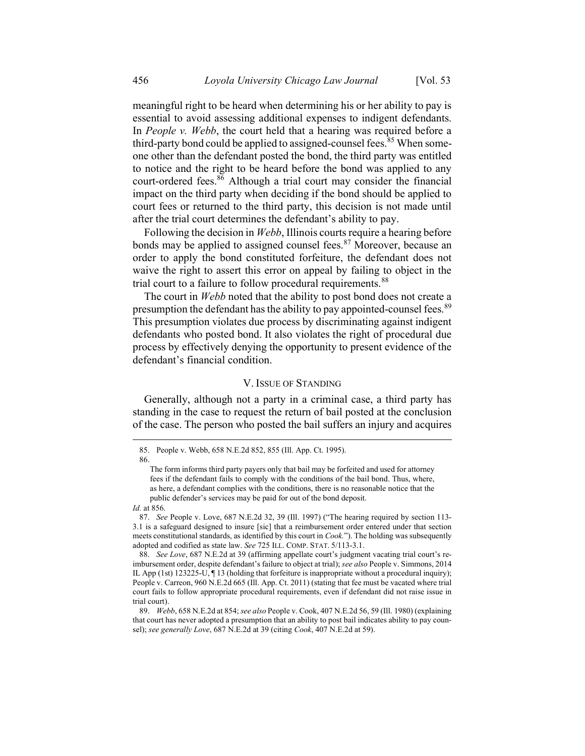meaningful right to be heard when determining his or her ability to pay is essential to avoid assessing additional expenses to indigent defendants. In People v. Webb, the court held that a hearing was required before a third-party bond could be applied to assigned-counsel fees.<sup>85</sup> When someone other than the defendant posted the bond, the third party was entitled to notice and the right to be heard before the bond was applied to any court-ordered fees. $86$  Although a trial court may consider the financial impact on the third party when deciding if the bond should be applied to court fees or returned to the third party, this decision is not made until after the trial court determines the defendant's ability to pay.

Following the decision in Webb, Illinois courts require a hearing before bonds may be applied to assigned counsel fees.<sup>87</sup> Moreover, because an order to apply the bond constituted forfeiture, the defendant does not waive the right to assert this error on appeal by failing to object in the trial court to a failure to follow procedural requirements.<sup>88</sup>

The court in Webb noted that the ability to post bond does not create a presumption the defendant has the ability to pay appointed-counsel fees.<sup>89</sup> This presumption violates due process by discriminating against indigent defendants who posted bond. It also violates the right of procedural due process by effectively denying the opportunity to present evidence of the defendant's financial condition.

#### V. ISSUE OF STANDING

Generally, although not a party in a criminal case, a third party has standing in the case to request the return of bail posted at the conclusion of the case. The person who posted the bail suffers an injury and acquires

<sup>85.</sup> People v. Webb, 658 N.E.2d 852, 855 (Ill. App. Ct. 1995). 86.

The form informs third party payers only that bail may be forfeited and used for attorney fees if the defendant fails to comply with the conditions of the bail bond. Thus, where, as here, a defendant complies with the conditions, there is no reasonable notice that the public defender's services may be paid for out of the bond deposit. Id. at 856.

<sup>87.</sup> See People v. Love, 687 N.E.2d 32, 39 (Ill. 1997) ("The hearing required by section 113- 3.1 is a safeguard designed to insure [sic] that a reimbursement order entered under that section meets constitutional standards, as identified by this court in *Cook*."). The holding was subsequently adopted and codified as state law. See 725 ILL. COMP. STAT. 5/113-3.1.

<sup>88.</sup> See Love, 687 N.E.2d at 39 (affirming appellate court's judgment vacating trial court's reimbursement order, despite defendant's failure to object at trial); see also People v. Simmons, 2014 IL App (1st) 123225-U, ¶ 13 (holding that forfeiture is inappropriate without a procedural inquiry); People v. Carreon, 960 N.E.2d 665 (Ill. App. Ct. 2011) (stating that fee must be vacated where trial court fails to follow appropriate procedural requirements, even if defendant did not raise issue in trial court).

<sup>89.</sup> Webb, 658 N.E.2d at 854; see also People v. Cook, 407 N.E.2d 56, 59 (Ill. 1980) (explaining that court has never adopted a presumption that an ability to post bail indicates ability to pay counsel); see generally Love, 687 N.E.2d at 39 (citing Cook, 407 N.E.2d at 59).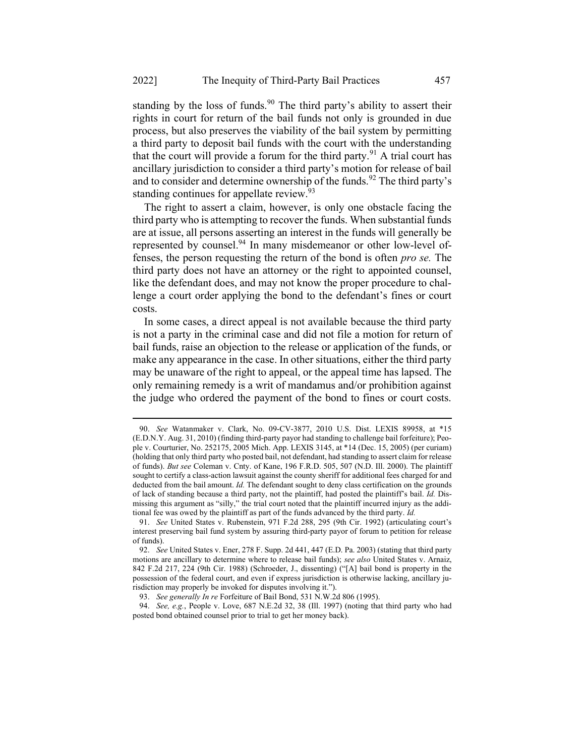standing by the loss of funds.<sup>90</sup> The third party's ability to assert their rights in court for return of the bail funds not only is grounded in due process, but also preserves the viability of the bail system by permitting a third party to deposit bail funds with the court with the understanding that the court will provide a forum for the third party.<sup>91</sup> A trial court has ancillary jurisdiction to consider a third party's motion for release of bail and to consider and determine ownership of the funds.<sup>92</sup> The third party's standing continues for appellate review.<sup>93</sup>

The right to assert a claim, however, is only one obstacle facing the third party who is attempting to recover the funds. When substantial funds are at issue, all persons asserting an interest in the funds will generally be represented by counsel.<sup>94</sup> In many misdemeanor or other low-level offenses, the person requesting the return of the bond is often pro se. The third party does not have an attorney or the right to appointed counsel, like the defendant does, and may not know the proper procedure to challenge a court order applying the bond to the defendant's fines or court costs.

In some cases, a direct appeal is not available because the third party is not a party in the criminal case and did not file a motion for return of bail funds, raise an objection to the release or application of the funds, or make any appearance in the case. In other situations, either the third party may be unaware of the right to appeal, or the appeal time has lapsed. The only remaining remedy is a writ of mandamus and/or prohibition against the judge who ordered the payment of the bond to fines or court costs.

<sup>90.</sup> See Watanmaker v. Clark, No. 09-CV-3877, 2010 U.S. Dist. LEXIS 89958, at \*15 (E.D.N.Y. Aug. 31, 2010) (finding third-party payor had standing to challenge bail forfeiture); People v. Courturier, No. 252175, 2005 Mich. App. LEXIS 3145, at \*14 (Dec. 15, 2005) (per curiam) (holding that only third party who posted bail, not defendant, had standing to assert claim for release of funds). But see Coleman v. Cnty. of Kane, 196 F.R.D. 505, 507 (N.D. Ill. 2000). The plaintiff sought to certify a class-action lawsuit against the county sheriff for additional fees charged for and deducted from the bail amount. Id. The defendant sought to deny class certification on the grounds of lack of standing because a third party, not the plaintiff, had posted the plaintiff's bail. Id. Dismissing this argument as "silly," the trial court noted that the plaintiff incurred injury as the additional fee was owed by the plaintiff as part of the funds advanced by the third party. Id.

<sup>91.</sup> See United States v. Rubenstein, 971 F.2d 288, 295 (9th Cir. 1992) (articulating court's interest preserving bail fund system by assuring third-party payor of forum to petition for release of funds).

<sup>92.</sup> See United States v. Ener, 278 F. Supp. 2d 441, 447 (E.D. Pa. 2003) (stating that third party motions are ancillary to determine where to release bail funds); see also United States v. Arnaiz, 842 F.2d 217, 224 (9th Cir. 1988) (Schroeder, J., dissenting) ("[A] bail bond is property in the possession of the federal court, and even if express jurisdiction is otherwise lacking, ancillary jurisdiction may properly be invoked for disputes involving it.").

<sup>93.</sup> See generally In re Forfeiture of Bail Bond, 531 N.W.2d 806 (1995).

<sup>94.</sup> See, e.g., People v. Love, 687 N.E.2d 32, 38 (Ill. 1997) (noting that third party who had posted bond obtained counsel prior to trial to get her money back).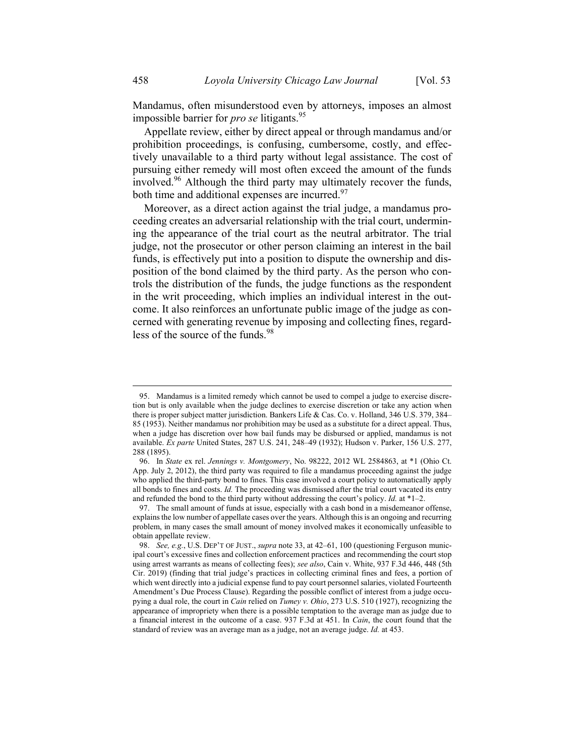Mandamus, often misunderstood even by attorneys, imposes an almost impossible barrier for *pro se* litigants.<sup>95</sup>

Appellate review, either by direct appeal or through mandamus and/or prohibition proceedings, is confusing, cumbersome, costly, and effectively unavailable to a third party without legal assistance. The cost of pursuing either remedy will most often exceed the amount of the funds involved.<sup>96</sup> Although the third party may ultimately recover the funds, both time and additional expenses are incurred. $97$ 

Moreover, as a direct action against the trial judge, a mandamus proceeding creates an adversarial relationship with the trial court, undermining the appearance of the trial court as the neutral arbitrator. The trial judge, not the prosecutor or other person claiming an interest in the bail funds, is effectively put into a position to dispute the ownership and disposition of the bond claimed by the third party. As the person who controls the distribution of the funds, the judge functions as the respondent in the writ proceeding, which implies an individual interest in the outcome. It also reinforces an unfortunate public image of the judge as concerned with generating revenue by imposing and collecting fines, regardless of the source of the funds.<sup>98</sup>

<sup>95.</sup> Mandamus is a limited remedy which cannot be used to compel a judge to exercise discretion but is only available when the judge declines to exercise discretion or take any action when there is proper subject matter jurisdiction. Bankers Life & Cas. Co. v. Holland, 346 U.S. 379, 384– 85 (1953). Neither mandamus nor prohibition may be used as a substitute for a direct appeal. Thus, when a judge has discretion over how bail funds may be disbursed or applied, mandamus is not available. Ex parte United States, 287 U.S. 241, 248–49 (1932); Hudson v. Parker, 156 U.S. 277, 288 (1895).

<sup>96.</sup> In State ex rel. Jennings v. Montgomery, No. 98222, 2012 WL 2584863, at \*1 (Ohio Ct. App. July 2, 2012), the third party was required to file a mandamus proceeding against the judge who applied the third-party bond to fines. This case involved a court policy to automatically apply all bonds to fines and costs. Id. The proceeding was dismissed after the trial court vacated its entry and refunded the bond to the third party without addressing the court's policy. Id. at  $*1-2$ .

<sup>97.</sup> The small amount of funds at issue, especially with a cash bond in a misdemeanor offense, explains the low number of appellate cases over the years. Although this is an ongoing and recurring problem, in many cases the small amount of money involved makes it economically unfeasible to obtain appellate review.

<sup>98.</sup> See, e.g., U.S. DEP'T OF JUST., supra note 33, at 42-61, 100 (questioning Ferguson municipal court's excessive fines and collection enforcement practices and recommending the court stop using arrest warrants as means of collecting fees); see also, Cain v. White, 937 F.3d 446, 448 (5th Cir. 2019) (finding that trial judge's practices in collecting criminal fines and fees, a portion of which went directly into a judicial expense fund to pay court personnel salaries, violated Fourteenth Amendment's Due Process Clause). Regarding the possible conflict of interest from a judge occupying a dual role, the court in *Cain* relied on *Tumey v. Ohio*, 273 U.S. 510 (1927), recognizing the appearance of impropriety when there is a possible temptation to the average man as judge due to a financial interest in the outcome of a case. 937 F.3d at 451. In Cain, the court found that the standard of review was an average man as a judge, not an average judge. Id. at 453.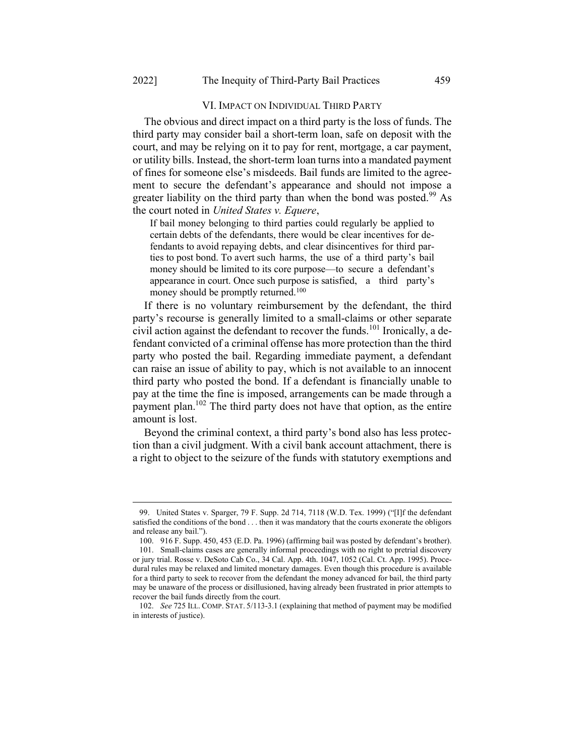### VI. IMPACT ON INDIVIDUAL THIRD PARTY

The obvious and direct impact on a third party is the loss of funds. The third party may consider bail a short-term loan, safe on deposit with the court, and may be relying on it to pay for rent, mortgage, a car payment, or utility bills. Instead, the short-term loan turns into a mandated payment of fines for someone else's misdeeds. Bail funds are limited to the agreement to secure the defendant's appearance and should not impose a greater liability on the third party than when the bond was posted.<sup>99</sup> As the court noted in United States v. Equere,

If bail money belonging to third parties could regularly be applied to certain debts of the defendants, there would be clear incentives for defendants to avoid repaying debts, and clear disincentives for third parties to post bond. To avert such harms, the use of a third party's bail money should be limited to its core purpose—to secure a defendant's appearance in court. Once such purpose is satisfied, a third party's money should be promptly returned.<sup>100</sup>

If there is no voluntary reimbursement by the defendant, the third party's recourse is generally limited to a small-claims or other separate civil action against the defendant to recover the funds.<sup>101</sup> Ironically, a defendant convicted of a criminal offense has more protection than the third party who posted the bail. Regarding immediate payment, a defendant can raise an issue of ability to pay, which is not available to an innocent third party who posted the bond. If a defendant is financially unable to pay at the time the fine is imposed, arrangements can be made through a payment plan.<sup>102</sup> The third party does not have that option, as the entire amount is lost.

Beyond the criminal context, a third party's bond also has less protection than a civil judgment. With a civil bank account attachment, there is a right to object to the seizure of the funds with statutory exemptions and

<sup>99.</sup> United States v. Sparger, 79 F. Supp. 2d 714, 7118 (W.D. Tex. 1999) ("[I]f the defendant satisfied the conditions of the bond . . . then it was mandatory that the courts exonerate the obligors and release any bail.").

<sup>100. 916</sup> F. Supp. 450, 453 (E.D. Pa. 1996) (affirming bail was posted by defendant's brother). 101. Small-claims cases are generally informal proceedings with no right to pretrial discovery or jury trial. Rosse v. DeSoto Cab Co., 34 Cal. App. 4th. 1047, 1052 (Cal. Ct. App. 1995). Procedural rules may be relaxed and limited monetary damages. Even though this procedure is available for a third party to seek to recover from the defendant the money advanced for bail, the third party may be unaware of the process or disillusioned, having already been frustrated in prior attempts to recover the bail funds directly from the court.

<sup>102.</sup> See 725 ILL. COMP. STAT. 5/113-3.1 (explaining that method of payment may be modified in interests of justice).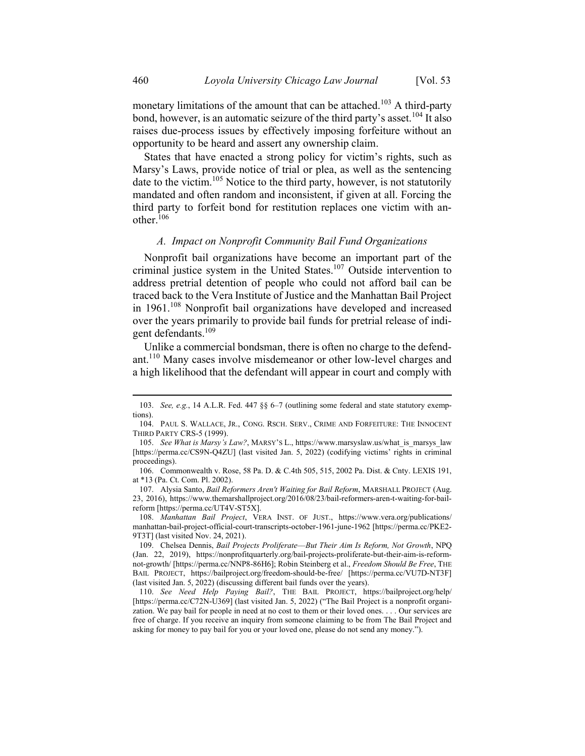monetary limitations of the amount that can be attached.<sup>103</sup> A third-party bond, however, is an automatic seizure of the third party's asset.<sup>104</sup> It also raises due-process issues by effectively imposing forfeiture without an opportunity to be heard and assert any ownership claim.

States that have enacted a strong policy for victim's rights, such as Marsy's Laws, provide notice of trial or plea, as well as the sentencing date to the victim.<sup>105</sup> Notice to the third party, however, is not statutorily mandated and often random and inconsistent, if given at all. Forcing the third party to forfeit bond for restitution replaces one victim with another. $106$ 

### A. Impact on Nonprofit Community Bail Fund Organizations

Nonprofit bail organizations have become an important part of the criminal justice system in the United States.<sup>107</sup> Outside intervention to address pretrial detention of people who could not afford bail can be traced back to the Vera Institute of Justice and the Manhattan Bail Project in 1961.<sup>108</sup> Nonprofit bail organizations have developed and increased over the years primarily to provide bail funds for pretrial release of indigent defendants.<sup>109</sup>

Unlike a commercial bondsman, there is often no charge to the defendant.<sup>110</sup> Many cases involve misdemeanor or other low-level charges and a high likelihood that the defendant will appear in court and comply with

<sup>103.</sup> See, e.g., 14 A.L.R. Fed. 447 §§ 6–7 (outlining some federal and state statutory exemptions).

<sup>104.</sup> PAUL S. WALLACE, JR., CONG. RSCH. SERV., CRIME AND FORFEITURE: THE INNOCENT THIRD PARTY CRS-5 (1999).

<sup>105.</sup> See What is Marsy's Law?, MARSY's L., https://www.marsyslaw.us/what\_is\_marsys\_law [https://perma.cc/CS9N-Q4ZU] (last visited Jan. 5, 2022) (codifying victims' rights in criminal proceedings).

<sup>106.</sup> Commonwealth v. Rose, 58 Pa. D. & C.4th 505, 515, 2002 Pa. Dist. & Cnty. LEXIS 191, at \*13 (Pa. Ct. Com. Pl. 2002).

<sup>107.</sup> Alysia Santo, Bail Reformers Aren't Waiting for Bail Reform, MARSHALL PROJECT (Aug. 23, 2016), https://www.themarshallproject.org/2016/08/23/bail-reformers-aren-t-waiting-for-bailreform [https://perma.cc/UT4V-ST5X].

<sup>108.</sup> Manhattan Bail Project, VERA INST. OF JUST., https://www.vera.org/publications/ manhattan-bail-project-official-court-transcripts-october-1961-june-1962 [https://perma.cc/PKE2- 9T3T] (last visited Nov. 24, 2021).

<sup>109.</sup> Chelsea Dennis, Bail Projects Proliferate--- But Their Aim Is Reform, Not Growth, NPQ (Jan. 22, 2019), https://nonprofitquarterly.org/bail-projects-proliferate-but-their-aim-is-reformnot-growth/ [https://perma.cc/NNP8-86H6]; Robin Steinberg et al., Freedom Should Be Free, THE BAIL PROJECT, https://bailproject.org/freedom-should-be-free/ [https://perma.cc/VU7D-NT3F] (last visited Jan. 5, 2022) (discussing different bail funds over the years).

<sup>110.</sup> See Need Help Paying Bail?, THE BAIL PROJECT, https://bailproject.org/help/ [https://perma.cc/C72N-U369] (last visited Jan. 5, 2022) ("The Bail Project is a nonprofit organization. We pay bail for people in need at no cost to them or their loved ones. . . . Our services are free of charge. If you receive an inquiry from someone claiming to be from The Bail Project and asking for money to pay bail for you or your loved one, please do not send any money.").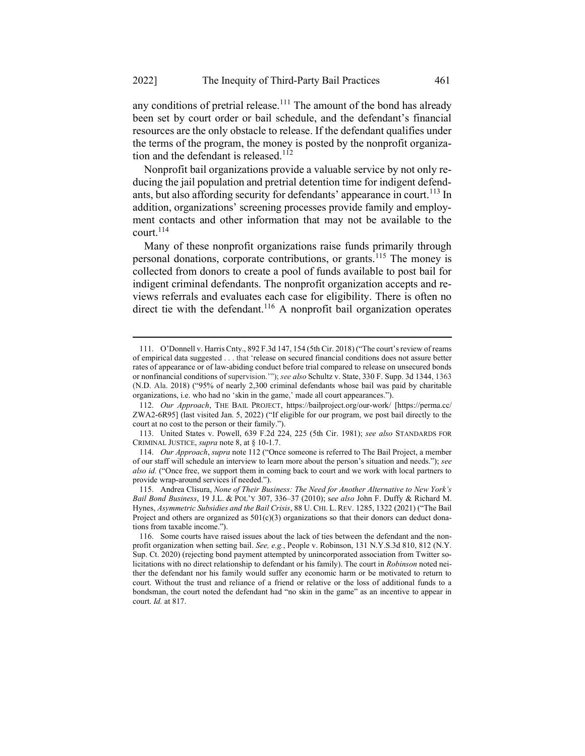any conditions of pretrial release.<sup>111</sup> The amount of the bond has already been set by court order or bail schedule, and the defendant's financial resources are the only obstacle to release. If the defendant qualifies under the terms of the program, the money is posted by the nonprofit organization and the defendant is released.<sup>112</sup>

Nonprofit bail organizations provide a valuable service by not only reducing the jail population and pretrial detention time for indigent defendants, but also affording security for defendants' appearance in court.<sup>113</sup> In addition, organizations' screening processes provide family and employment contacts and other information that may not be available to the court. $114$ 

Many of these nonprofit organizations raise funds primarily through personal donations, corporate contributions, or grants.<sup>115</sup> The money is collected from donors to create a pool of funds available to post bail for indigent criminal defendants. The nonprofit organization accepts and reviews referrals and evaluates each case for eligibility. There is often no direct tie with the defendant.<sup>116</sup> A nonprofit bail organization operates

<sup>111.</sup> O'Donnell v. Harris Cnty., 892 F.3d 147, 154 (5th Cir. 2018) ("The court's review of reams of empirical data suggested . . . that 'release on secured financial conditions does not assure better rates of appearance or of law-abiding conduct before trial compared to release on unsecured bonds or nonfinancial conditions of supervision.""); see also Schultz v. State, 330 F. Supp. 3d 1344, 1363 (N.D. Ala. 2018) ("95% of nearly 2,300 criminal defendants whose bail was paid by charitable organizations, i.e. who had no 'skin in the game,' made all court appearances.").

<sup>112.</sup> Our Approach, THE BAIL PROJECT, https://bailproject.org/our-work/ [https://perma.cc/ ZWA2-6R95] (last visited Jan. 5, 2022) ("If eligible for our program, we post bail directly to the court at no cost to the person or their family.").

<sup>113.</sup> United States v. Powell, 639 F.2d 224, 225 (5th Cir. 1981); see also STANDARDS FOR CRIMINAL JUSTICE, supra note 8, at § 10-1.7.

<sup>114.</sup> Our Approach, supra note 112 ("Once someone is referred to The Bail Project, a member of our staff will schedule an interview to learn more about the person's situation and needs."); see also id. ("Once free, we support them in coming back to court and we work with local partners to provide wrap-around services if needed.").

<sup>115.</sup> Andrea Clisura, None of Their Business: The Need for Another Alternative to New York's Bail Bond Business, 19 J.L. & POL'Y 307, 336-37 (2010); see also John F. Duffy & Richard M. Hynes, Asymmetric Subsidies and the Bail Crisis, 88 U. CHI. L. REV. 1285, 1322 (2021) ("The Bail Project and others are organized as  $501(c)(3)$  organizations so that their donors can deduct donations from taxable income.").

<sup>116.</sup> Some courts have raised issues about the lack of ties between the defendant and the nonprofit organization when setting bail. See, e.g., People v. Robinson, 131 N.Y.S.3d 810, 812 (N.Y. Sup. Ct. 2020) (rejecting bond payment attempted by unincorporated association from Twitter solicitations with no direct relationship to defendant or his family). The court in *Robinson* noted neither the defendant nor his family would suffer any economic harm or be motivated to return to court. Without the trust and reliance of a friend or relative or the loss of additional funds to a bondsman, the court noted the defendant had "no skin in the game" as an incentive to appear in court. Id. at 817.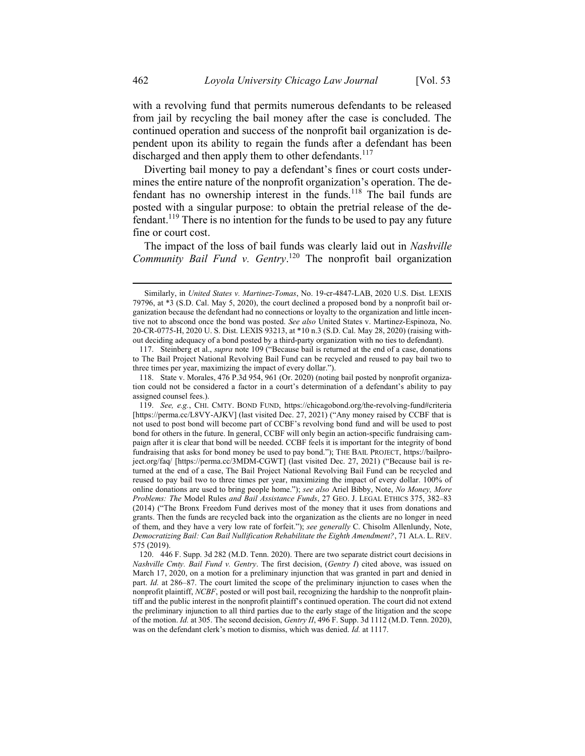with a revolving fund that permits numerous defendants to be released from jail by recycling the bail money after the case is concluded. The continued operation and success of the nonprofit bail organization is dependent upon its ability to regain the funds after a defendant has been discharged and then apply them to other defendants.<sup>117</sup>

Diverting bail money to pay a defendant's fines or court costs undermines the entire nature of the nonprofit organization's operation. The defendant has no ownership interest in the funds.<sup>118</sup> The bail funds are posted with a singular purpose: to obtain the pretrial release of the defendant.<sup>119</sup> There is no intention for the funds to be used to pay any future fine or court cost.

The impact of the loss of bail funds was clearly laid out in Nashville Community Bail Fund v. Gentry.<sup>120</sup> The nonprofit bail organization

Similarly, in United States v. Martinez-Tomas, No. 19-cr-4847-LAB, 2020 U.S. Dist. LEXIS 79796, at \*3 (S.D. Cal. May 5, 2020), the court declined a proposed bond by a nonprofit bail organization because the defendant had no connections or loyalty to the organization and little incentive not to abscond once the bond was posted. See also United States v. Martinez-Espinoza, No. 20-CR-0775-H, 2020 U. S. Dist. LEXIS 93213, at \*10 n.3 (S.D. Cal. May 28, 2020) (raising without deciding adequacy of a bond posted by a third-party organization with no ties to defendant).

<sup>117.</sup> Steinberg et al., supra note 109 ("Because bail is returned at the end of a case, donations to The Bail Project National Revolving Bail Fund can be recycled and reused to pay bail two to three times per year, maximizing the impact of every dollar.").

<sup>118.</sup> State v. Morales, 476 P.3d 954, 961 (Or. 2020) (noting bail posted by nonprofit organization could not be considered a factor in a court's determination of a defendant's ability to pay assigned counsel fees.).

<sup>119.</sup> See, e.g., CHI. CMTY. BOND FUND, https://chicagobond.org/the-revolving-fund#criteria [https://perma.cc/L8VY-AJKV] (last visited Dec. 27, 2021) ("Any money raised by CCBF that is not used to post bond will become part of CCBF's revolving bond fund and will be used to post bond for others in the future. In general, CCBF will only begin an action-specific fundraising campaign after it is clear that bond will be needed. CCBF feels it is important for the integrity of bond fundraising that asks for bond money be used to pay bond."); THE BAIL PROJECT, https://bailproject.org/faq/ [https://perma.cc/3MDM-CGWT] (last visited Dec. 27, 2021) ("Because bail is returned at the end of a case, The Bail Project National Revolving Bail Fund can be recycled and reused to pay bail two to three times per year, maximizing the impact of every dollar. 100% of online donations are used to bring people home."); see also Ariel Bibby, Note, No Money, More Problems: The Model Rules and Bail Assistance Funds, 27 GEO. J. LEGAL ETHICS 375, 382–83 (2014) ("The Bronx Freedom Fund derives most of the money that it uses from donations and grants. Then the funds are recycled back into the organization as the clients are no longer in need of them, and they have a very low rate of forfeit."); see generally C. Chisolm Allenlundy, Note, Democratizing Bail: Can Bail Nullification Rehabilitate the Eighth Amendment?, 71 ALA. L. REV. 575 (2019).

<sup>120. 446</sup> F. Supp. 3d 282 (M.D. Tenn. 2020). There are two separate district court decisions in Nashville Cmty. Bail Fund v. Gentry. The first decision, (Gentry I) cited above, was issued on March 17, 2020, on a motion for a preliminary injunction that was granted in part and denied in part. Id. at 286–87. The court limited the scope of the preliminary injunction to cases when the nonprofit plaintiff, NCBF, posted or will post bail, recognizing the hardship to the nonprofit plaintiff and the public interest in the nonprofit plaintiff's continued operation. The court did not extend the preliminary injunction to all third parties due to the early stage of the litigation and the scope of the motion. Id. at 305. The second decision, Gentry II, 496 F. Supp. 3d 1112 (M.D. Tenn. 2020), was on the defendant clerk's motion to dismiss, which was denied. Id. at 1117.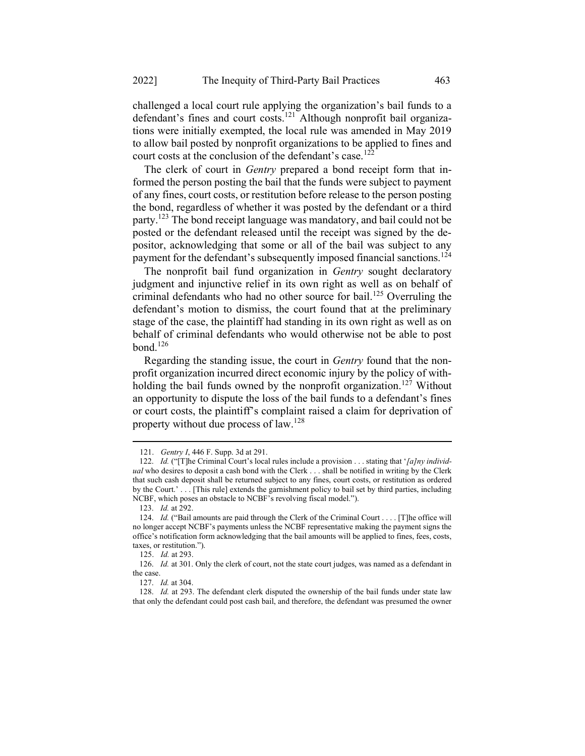challenged a local court rule applying the organization's bail funds to a defendant's fines and court costs.<sup>121</sup> Although nonprofit bail organizations were initially exempted, the local rule was amended in May 2019 to allow bail posted by nonprofit organizations to be applied to fines and court costs at the conclusion of the defendant's case.<sup>122</sup>

The clerk of court in *Gentry* prepared a bond receipt form that informed the person posting the bail that the funds were subject to payment of any fines, court costs, or restitution before release to the person posting the bond, regardless of whether it was posted by the defendant or a third party.<sup>123</sup> The bond receipt language was mandatory, and bail could not be posted or the defendant released until the receipt was signed by the depositor, acknowledging that some or all of the bail was subject to any payment for the defendant's subsequently imposed financial sanctions.<sup>124</sup>

The nonprofit bail fund organization in *Gentry* sought declaratory judgment and injunctive relief in its own right as well as on behalf of criminal defendants who had no other source for bail.<sup>125</sup> Overruling the defendant's motion to dismiss, the court found that at the preliminary stage of the case, the plaintiff had standing in its own right as well as on behalf of criminal defendants who would otherwise not be able to post bond. $126$ 

Regarding the standing issue, the court in *Gentry* found that the nonprofit organization incurred direct economic injury by the policy of withholding the bail funds owned by the nonprofit organization.<sup>127</sup> Without an opportunity to dispute the loss of the bail funds to a defendant's fines or court costs, the plaintiff's complaint raised a claim for deprivation of property without due process of law.<sup>128</sup>

<sup>121.</sup> Gentry I, 446 F. Supp. 3d at 291.

<sup>122.</sup> Id. ("[T]he Criminal Court's local rules include a provision . . . stating that '[a]ny individual who desires to deposit a cash bond with the Clerk . . . shall be notified in writing by the Clerk that such cash deposit shall be returned subject to any fines, court costs, or restitution as ordered by the Court.' . . . [This rule] extends the garnishment policy to bail set by third parties, including NCBF, which poses an obstacle to NCBF's revolving fiscal model.").

<sup>123.</sup> Id. at 292.

<sup>124.</sup> Id. ("Bail amounts are paid through the Clerk of the Criminal Court . . . . [T]he office will no longer accept NCBF's payments unless the NCBF representative making the payment signs the office's notification form acknowledging that the bail amounts will be applied to fines, fees, costs, taxes, or restitution.").

<sup>125.</sup> Id. at 293.

<sup>126.</sup> Id. at 301. Only the clerk of court, not the state court judges, was named as a defendant in the case.

<sup>127.</sup> Id. at 304.

<sup>128.</sup> Id. at 293. The defendant clerk disputed the ownership of the bail funds under state law that only the defendant could post cash bail, and therefore, the defendant was presumed the owner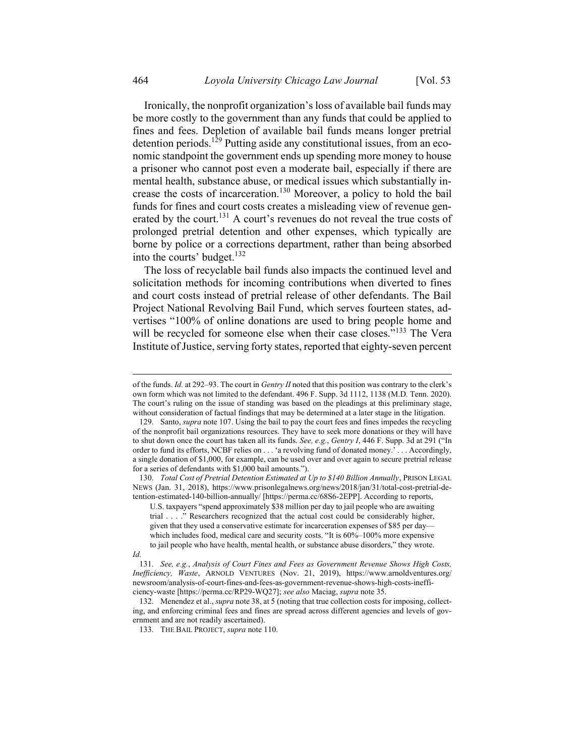Ironically, the nonprofit organization's loss of available bail funds may be more costly to the government than any funds that could be applied to fines and fees. Depletion of available bail funds means longer pretrial detention periods.<sup>129</sup> Putting aside any constitutional issues, from an economic standpoint the government ends up spending more money to house a prisoner who cannot post even a moderate bail, especially if there are mental health, substance abuse, or medical issues which substantially increase the costs of incarceration.<sup>130</sup> Moreover, a policy to hold the bail funds for fines and court costs creates a misleading view of revenue generated by the court.<sup>131</sup> A court's revenues do not reveal the true costs of prolonged pretrial detention and other expenses, which typically are borne by police or a corrections department, rather than being absorbed into the courts' budget.<sup>132</sup>

The loss of recyclable bail funds also impacts the continued level and solicitation methods for incoming contributions when diverted to fines and court costs instead of pretrial release of other defendants. The Bail Project National Revolving Bail Fund, which serves fourteen states, advertises "100% of online donations are used to bring people home and will be recycled for someone else when their case closes."<sup>133</sup> The Vera Institute of Justice, serving forty states, reported that eighty-seven percent

130. Total Cost of Pretrial Detention Estimated at Up to \$140 Billion Annually, PRISON LEGAL NEWS (Jan. 31, 2018), https://www.prisonlegalnews.org/news/2018/jan/31/total-cost-pretrial-detention-estimated-140-billion-annually/ [https://perma.cc/68S6-2EPP]. According to reports,

U.S. taxpayers "spend approximately \$38 million per day to jail people who are awaiting trial . . . ." Researchers recognized that the actual cost could be considerably higher, given that they used a conservative estimate for incarceration expenses of \$85 per day which includes food, medical care and security costs. "It is 60%–100% more expensive to jail people who have health, mental health, or substance abuse disorders," they wrote.

Id.

of the funds. Id. at 292–93. The court in Gentry II noted that this position was contrary to the clerk's own form which was not limited to the defendant. 496 F. Supp. 3d 1112, 1138 (M.D. Tenn. 2020). The court's ruling on the issue of standing was based on the pleadings at this preliminary stage, without consideration of factual findings that may be determined at a later stage in the litigation.

<sup>129.</sup> Santo, supra note 107. Using the bail to pay the court fees and fines impedes the recycling of the nonprofit bail organizations resources. They have to seek more donations or they will have to shut down once the court has taken all its funds. See, e.g., Gentry I, 446 F. Supp. 3d at 291 ("In order to fund its efforts, NCBF relies on . . . 'a revolving fund of donated money.' . . . Accordingly, a single donation of \$1,000, for example, can be used over and over again to secure pretrial release for a series of defendants with \$1,000 bail amounts.").

<sup>131.</sup> See, e.g., Analysis of Court Fines and Fees as Government Revenue Shows High Costs, Inefficiency, Waste, ARNOLD VENTURES (Nov. 21, 2019), https://www.arnoldventures.org/ newsroom/analysis-of-court-fines-and-fees-as-government-revenue-shows-high-costs-inefficiency-waste [https://perma.cc/RP29-WQ27]; see also Maciag, supra note 35.

<sup>132.</sup> Menendez et al., supra note 38, at 5 (noting that true collection costs for imposing, collecting, and enforcing criminal fees and fines are spread across different agencies and levels of government and are not readily ascertained).

<sup>133.</sup> THE BAIL PROJECT, supra note 110.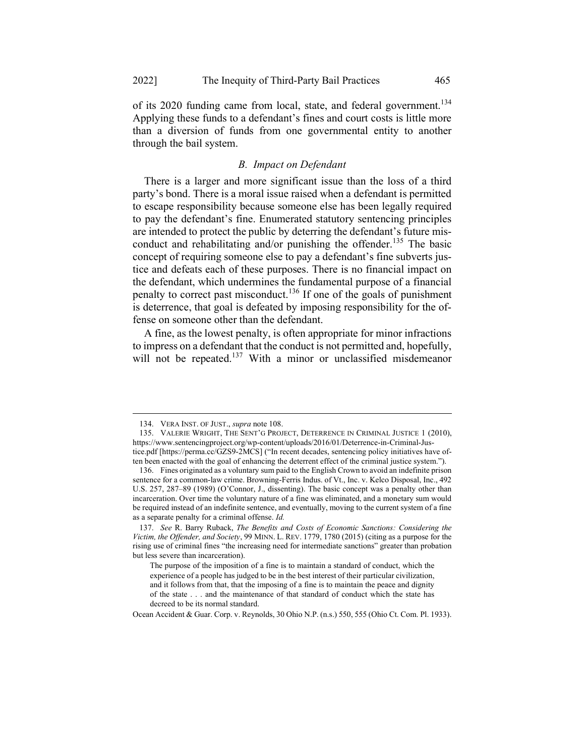of its 2020 funding came from local, state, and federal government.<sup>134</sup> Applying these funds to a defendant's fines and court costs is little more than a diversion of funds from one governmental entity to another through the bail system.

### B. Impact on Defendant

There is a larger and more significant issue than the loss of a third party's bond. There is a moral issue raised when a defendant is permitted to escape responsibility because someone else has been legally required to pay the defendant's fine. Enumerated statutory sentencing principles are intended to protect the public by deterring the defendant's future misconduct and rehabilitating and/or punishing the offender.<sup>135</sup> The basic concept of requiring someone else to pay a defendant's fine subverts justice and defeats each of these purposes. There is no financial impact on the defendant, which undermines the fundamental purpose of a financial penalty to correct past misconduct.<sup>136</sup> If one of the goals of punishment is deterrence, that goal is defeated by imposing responsibility for the offense on someone other than the defendant.

A fine, as the lowest penalty, is often appropriate for minor infractions to impress on a defendant that the conduct is not permitted and, hopefully, will not be repeated.<sup>137</sup> With a minor or unclassified misdemeanor

Ocean Accident & Guar. Corp. v. Reynolds, 30 Ohio N.P. (n.s.) 550, 555 (Ohio Ct. Com. Pl. 1933).

<sup>134.</sup> VERA INST. OF JUST., supra note 108.

<sup>135.</sup> VALERIE WRIGHT, THE SENT'G PROJECT, DETERRENCE IN CRIMINAL JUSTICE 1 (2010), https://www.sentencingproject.org/wp-content/uploads/2016/01/Deterrence-in-Criminal-Justice.pdf [https://perma.cc/GZS9-2MCS] ("In recent decades, sentencing policy initiatives have often been enacted with the goal of enhancing the deterrent effect of the criminal justice system.").

<sup>136.</sup> Fines originated as a voluntary sum paid to the English Crown to avoid an indefinite prison sentence for a common-law crime. Browning-Ferris Indus. of Vt., Inc. v. Kelco Disposal, Inc., 492 U.S. 257, 287–89 (1989) (O'Connor, J., dissenting). The basic concept was a penalty other than incarceration. Over time the voluntary nature of a fine was eliminated, and a monetary sum would be required instead of an indefinite sentence, and eventually, moving to the current system of a fine as a separate penalty for a criminal offense. Id.

<sup>137.</sup> See R. Barry Ruback, The Benefits and Costs of Economic Sanctions: Considering the Victim, the Offender, and Society, 99 MINN. L. REV. 1779, 1780 (2015) (citing as a purpose for the rising use of criminal fines "the increasing need for intermediate sanctions" greater than probation but less severe than incarceration).

The purpose of the imposition of a fine is to maintain a standard of conduct, which the experience of a people has judged to be in the best interest of their particular civilization, and it follows from that, that the imposing of a fine is to maintain the peace and dignity of the state . . . and the maintenance of that standard of conduct which the state has decreed to be its normal standard.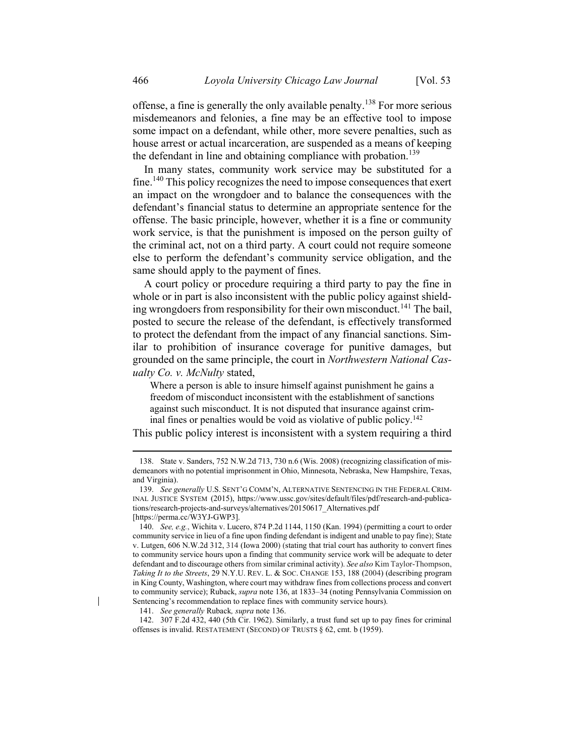offense, a fine is generally the only available penalty.<sup>138</sup> For more serious misdemeanors and felonies, a fine may be an effective tool to impose some impact on a defendant, while other, more severe penalties, such as house arrest or actual incarceration, are suspended as a means of keeping the defendant in line and obtaining compliance with probation.<sup>139</sup>

In many states, community work service may be substituted for a fine.<sup>140</sup> This policy recognizes the need to impose consequences that exert an impact on the wrongdoer and to balance the consequences with the defendant's financial status to determine an appropriate sentence for the offense. The basic principle, however, whether it is a fine or community work service, is that the punishment is imposed on the person guilty of the criminal act, not on a third party. A court could not require someone else to perform the defendant's community service obligation, and the same should apply to the payment of fines.

A court policy or procedure requiring a third party to pay the fine in whole or in part is also inconsistent with the public policy against shielding wrongdoers from responsibility for their own misconduct.<sup>141</sup> The bail, posted to secure the release of the defendant, is effectively transformed to protect the defendant from the impact of any financial sanctions. Similar to prohibition of insurance coverage for punitive damages, but grounded on the same principle, the court in Northwestern National Casualty Co. v. McNulty stated,

Where a person is able to insure himself against punishment he gains a freedom of misconduct inconsistent with the establishment of sanctions against such misconduct. It is not disputed that insurance against criminal fines or penalties would be void as violative of public policy.<sup>142</sup>

This public policy interest is inconsistent with a system requiring a third

<sup>138.</sup> State v. Sanders, 752 N.W.2d 713, 730 n.6 (Wis. 2008) (recognizing classification of misdemeanors with no potential imprisonment in Ohio, Minnesota, Nebraska, New Hampshire, Texas, and Virginia).

<sup>139.</sup> See generally U.S. SENT'G COMM'N, ALTERNATIVE SENTENCING IN THE FEDERAL CRIM-INAL JUSTICE SYSTEM (2015), https://www.ussc.gov/sites/default/files/pdf/research-and-publications/research-projects-and-surveys/alternatives/20150617\_Alternatives.pdf [https://perma.cc/W3YJ-GWP3].

<sup>140.</sup> See, e.g., Wichita v. Lucero, 874 P.2d 1144, 1150 (Kan. 1994) (permitting a court to order community service in lieu of a fine upon finding defendant is indigent and unable to pay fine); State v. Lutgen, 606 N.W.2d 312, 314 (Iowa 2000) (stating that trial court has authority to convert fines to community service hours upon a finding that community service work will be adequate to deter defendant and to discourage others from similar criminal activity). See also Kim Taylor-Thompson, Taking It to the Streets, 29 N.Y.U. REV. L. & SOC. CHANGE 153, 188 (2004) (describing program in King County, Washington, where court may withdraw fines from collections process and convert to community service); Ruback, *supra* note 136, at 1833–34 (noting Pennsylvania Commission on Sentencing's recommendation to replace fines with community service hours).

<sup>141.</sup> See generally Ruback, supra note 136.

<sup>142. 307</sup> F.2d 432, 440 (5th Cir. 1962). Similarly, a trust fund set up to pay fines for criminal offenses is invalid. RESTATEMENT (SECOND) OF TRUSTS § 62, cmt. b (1959).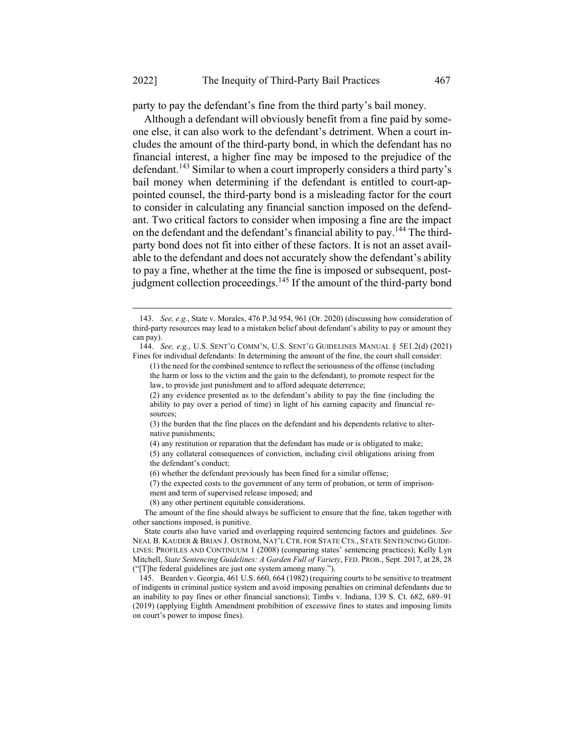party to pay the defendant's fine from the third party's bail money.

Although a defendant will obviously benefit from a fine paid by someone else, it can also work to the defendant's detriment. When a court includes the amount of the third-party bond, in which the defendant has no financial interest, a higher fine may be imposed to the prejudice of the defendant.<sup>143</sup> Similar to when a court improperly considers a third party's bail money when determining if the defendant is entitled to court-appointed counsel, the third-party bond is a misleading factor for the court to consider in calculating any financial sanction imposed on the defendant. Two critical factors to consider when imposing a fine are the impact on the defendant and the defendant's financial ability to pay.<sup>144</sup> The thirdparty bond does not fit into either of these factors. It is not an asset available to the defendant and does not accurately show the defendant's ability to pay a fine, whether at the time the fine is imposed or subsequent, postjudgment collection proceedings.<sup>145</sup> If the amount of the third-party bond

<sup>143.</sup> See, e.g., State v. Morales, 476 P.3d 954, 961 (Or. 2020) (discussing how consideration of third-party resources may lead to a mistaken belief about defendant's ability to pay or amount they can pay).

<sup>144.</sup> See, e.g., U.S. SENT'G COMM'N, U.S. SENT'G GUIDELINES MANUAL § 5E1.2(d) (2021) Fines for individual defendants: In determining the amount of the fine, the court shall consider:

<sup>(1)</sup> the need for the combined sentence to reflect the seriousness of the offense (including the harm or loss to the victim and the gain to the defendant), to promote respect for the law, to provide just punishment and to afford adequate deterrence;

<sup>(2)</sup> any evidence presented as to the defendant's ability to pay the fine (including the ability to pay over a period of time) in light of his earning capacity and financial resources;

<sup>(3)</sup> the burden that the fine places on the defendant and his dependents relative to alternative punishments;

<sup>(4)</sup> any restitution or reparation that the defendant has made or is obligated to make;

<sup>(5)</sup> any collateral consequences of conviction, including civil obligations arising from the defendant's conduct;

<sup>(6)</sup> whether the defendant previously has been fined for a similar offense;

<sup>(7)</sup> the expected costs to the government of any term of probation, or term of imprisonment and term of supervised release imposed; and

<sup>(8)</sup> any other pertinent equitable considerations.

The amount of the fine should always be sufficient to ensure that the fine, taken together with other sanctions imposed, is punitive.

State courts also have varied and overlapping required sentencing factors and guidelines. See NEAL B. KAUDER & BRIAN J. OSTROM, NAT'L CTR. FOR STATE CTS., STATE SENTENCING GUIDE-LINES: PROFILES AND CONTINUUM 1 (2008) (comparing states' sentencing practices); Kelly Lyn Mitchell, State Sentencing Guidelines: A Garden Full of Variety, FED. PROB., Sept. 2017, at 28, 28 ("[T]he federal guidelines are just one system among many.").

<sup>145.</sup> Bearden v. Georgia, 461 U.S. 660, 664 (1982) (requiring courts to be sensitive to treatment of indigents in criminal justice system and avoid imposing penalties on criminal defendants due to an inability to pay fines or other financial sanctions); Timbs v. Indiana, 139 S. Ct. 682, 689–91 (2019) (applying Eighth Amendment prohibition of excessive fines to states and imposing limits on court's power to impose fines).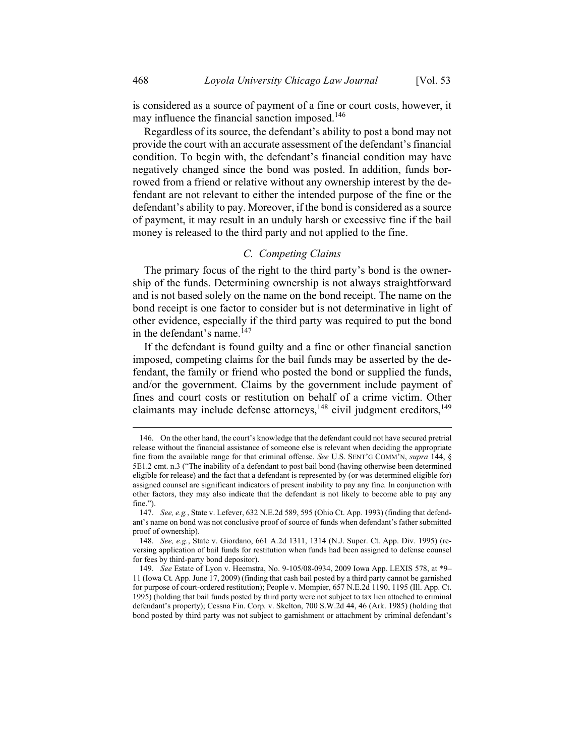is considered as a source of payment of a fine or court costs, however, it may influence the financial sanction imposed.<sup>146</sup>

Regardless of its source, the defendant's ability to post a bond may not provide the court with an accurate assessment of the defendant's financial condition. To begin with, the defendant's financial condition may have negatively changed since the bond was posted. In addition, funds borrowed from a friend or relative without any ownership interest by the defendant are not relevant to either the intended purpose of the fine or the defendant's ability to pay. Moreover, if the bond is considered as a source of payment, it may result in an unduly harsh or excessive fine if the bail money is released to the third party and not applied to the fine.

# C. Competing Claims

The primary focus of the right to the third party's bond is the ownership of the funds. Determining ownership is not always straightforward and is not based solely on the name on the bond receipt. The name on the bond receipt is one factor to consider but is not determinative in light of other evidence, especially if the third party was required to put the bond in the defendant's name.<sup>147</sup>

If the defendant is found guilty and a fine or other financial sanction imposed, competing claims for the bail funds may be asserted by the defendant, the family or friend who posted the bond or supplied the funds, and/or the government. Claims by the government include payment of fines and court costs or restitution on behalf of a crime victim. Other claimants may include defense attorneys,  $^{148}$  civil judgment creditors,  $^{149}$ 

<sup>146.</sup> On the other hand, the court's knowledge that the defendant could not have secured pretrial release without the financial assistance of someone else is relevant when deciding the appropriate fine from the available range for that criminal offense. See U.S. SENT'G COMM'N, supra 144, § 5E1.2 cmt. n.3 ("The inability of a defendant to post bail bond (having otherwise been determined eligible for release) and the fact that a defendant is represented by (or was determined eligible for) assigned counsel are significant indicators of present inability to pay any fine. In conjunction with other factors, they may also indicate that the defendant is not likely to become able to pay any fine.").

<sup>147.</sup> See, e.g., State v. Lefever, 632 N.E.2d 589, 595 (Ohio Ct. App. 1993) (finding that defendant's name on bond was not conclusive proof of source of funds when defendant's father submitted proof of ownership).

<sup>148.</sup> See, e.g., State v. Giordano, 661 A.2d 1311, 1314 (N.J. Super. Ct. App. Div. 1995) (reversing application of bail funds for restitution when funds had been assigned to defense counsel for fees by third-party bond depositor).

<sup>149.</sup> See Estate of Lyon v. Heemstra, No. 9-105/08-0934, 2009 Iowa App. LEXIS 578, at \*9– 11 (Iowa Ct. App. June 17, 2009) (finding that cash bail posted by a third party cannot be garnished for purpose of court-ordered restitution); People v. Mompier, 657 N.E.2d 1190, 1195 (Ill. App. Ct. 1995) (holding that bail funds posted by third party were not subject to tax lien attached to criminal defendant's property); Cessna Fin. Corp. v. Skelton, 700 S.W.2d 44, 46 (Ark. 1985) (holding that bond posted by third party was not subject to garnishment or attachment by criminal defendant's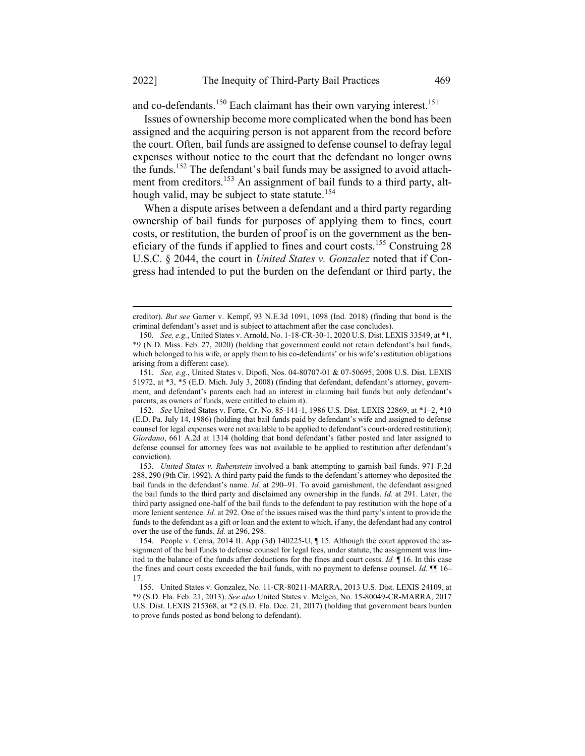and co-defendants.<sup>150</sup> Each claimant has their own varying interest.<sup>151</sup>

Issues of ownership become more complicated when the bond has been assigned and the acquiring person is not apparent from the record before the court. Often, bail funds are assigned to defense counsel to defray legal expenses without notice to the court that the defendant no longer owns the funds.<sup>152</sup> The defendant's bail funds may be assigned to avoid attachment from creditors.<sup>153</sup> An assignment of bail funds to a third party, although valid, may be subject to state statute.<sup>154</sup>

When a dispute arises between a defendant and a third party regarding ownership of bail funds for purposes of applying them to fines, court costs, or restitution, the burden of proof is on the government as the beneficiary of the funds if applied to fines and court costs.<sup>155</sup> Construing 28 U.S.C. § 2044, the court in *United States v. Gonzalez* noted that if Congress had intended to put the burden on the defendant or third party, the

creditor). But see Garner v. Kempf, 93 N.E.3d 1091, 1098 (Ind. 2018) (finding that bond is the criminal defendant's asset and is subject to attachment after the case concludes).

<sup>150.</sup> See, e.g., United States v. Arnold, No. 1-18-CR-30-1, 2020 U.S. Dist. LEXIS 33549, at \*1, \*9 (N.D. Miss. Feb. 27, 2020) (holding that government could not retain defendant's bail funds, which belonged to his wife, or apply them to his co-defendants' or his wife's restitution obligations arising from a different case).

<sup>151.</sup> See, e.g., United States v. Dipofi, Nos. 04-80707-01 & 07-50695, 2008 U.S. Dist. LEXIS 51972, at \*3, \*5 (E.D. Mich. July 3, 2008) (finding that defendant, defendant's attorney, government, and defendant's parents each had an interest in claiming bail funds but only defendant's parents, as owners of funds, were entitled to claim it).

<sup>152.</sup> See United States v. Forte, Cr. No. 85-141-1, 1986 U.S. Dist. LEXIS 22869, at \*1–2, \*10 (E.D. Pa. July 14, 1986) (holding that bail funds paid by defendant's wife and assigned to defense counsel for legal expenses were not available to be applied to defendant's court-ordered restitution); Giordano, 661 A.2d at 1314 (holding that bond defendant's father posted and later assigned to defense counsel for attorney fees was not available to be applied to restitution after defendant's conviction).

<sup>153.</sup> United States v. Rubenstein involved a bank attempting to garnish bail funds. 971 F.2d 288, 290 (9th Cir. 1992). A third party paid the funds to the defendant's attorney who deposited the bail funds in the defendant's name. Id. at 290–91. To avoid garnishment, the defendant assigned the bail funds to the third party and disclaimed any ownership in the funds. Id. at 291. Later, the third party assigned one-half of the bail funds to the defendant to pay restitution with the hope of a more lenient sentence. Id. at 292. One of the issues raised was the third party's intent to provide the funds to the defendant as a gift or loan and the extent to which, if any, the defendant had any control over the use of the funds. Id. at 296, 298.

<sup>154.</sup> People v. Cerna, 2014 IL App (3d) 140225-U, ¶ 15. Although the court approved the assignment of the bail funds to defense counsel for legal fees, under statute, the assignment was limited to the balance of the funds after deductions for the fines and court costs. Id. ¶ 16. In this case the fines and court costs exceeded the bail funds, with no payment to defense counsel. Id.  $\P$  16– 17.

<sup>155.</sup> United States v. Gonzalez, No. 11-CR-80211-MARRA, 2013 U.S. Dist. LEXIS 24109, at \*9 (S.D. Fla. Feb. 21, 2013). See also United States v. Melgen, No. 15-80049-CR-MARRA, 2017 U.S. Dist. LEXIS 215368, at \*2 (S.D. Fla. Dec. 21, 2017) (holding that government bears burden to prove funds posted as bond belong to defendant).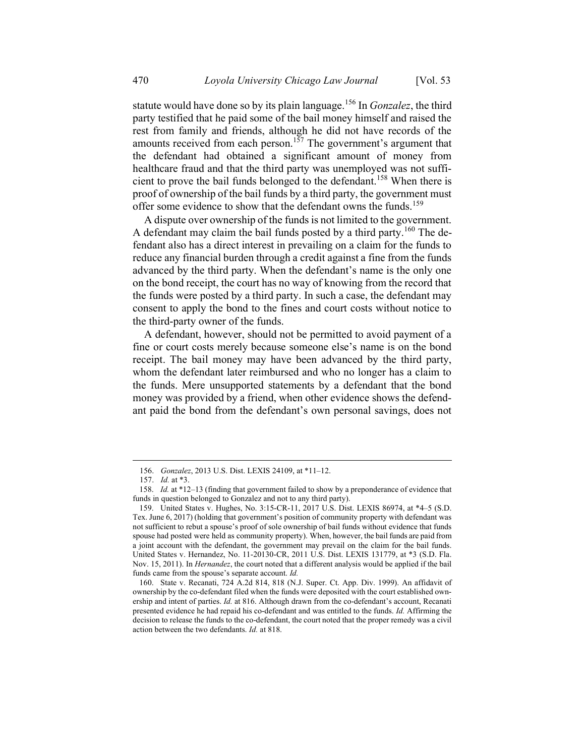statute would have done so by its plain language.<sup>156</sup> In *Gonzalez*, the third party testified that he paid some of the bail money himself and raised the rest from family and friends, although he did not have records of the amounts received from each person.<sup>157</sup> The government's argument that the defendant had obtained a significant amount of money from healthcare fraud and that the third party was unemployed was not sufficient to prove the bail funds belonged to the defendant.<sup>158</sup> When there is proof of ownership of the bail funds by a third party, the government must offer some evidence to show that the defendant owns the funds.<sup>159</sup>

A dispute over ownership of the funds is not limited to the government. A defendant may claim the bail funds posted by a third party.<sup>160</sup> The defendant also has a direct interest in prevailing on a claim for the funds to reduce any financial burden through a credit against a fine from the funds advanced by the third party. When the defendant's name is the only one on the bond receipt, the court has no way of knowing from the record that the funds were posted by a third party. In such a case, the defendant may consent to apply the bond to the fines and court costs without notice to the third-party owner of the funds.

A defendant, however, should not be permitted to avoid payment of a fine or court costs merely because someone else's name is on the bond receipt. The bail money may have been advanced by the third party, whom the defendant later reimbursed and who no longer has a claim to the funds. Mere unsupported statements by a defendant that the bond money was provided by a friend, when other evidence shows the defendant paid the bond from the defendant's own personal savings, does not

<sup>156.</sup> Gonzalez, 2013 U.S. Dist. LEXIS 24109, at \*11–12.

<sup>157.</sup> Id. at \*3.

<sup>158.</sup> Id. at \*12-13 (finding that government failed to show by a preponderance of evidence that funds in question belonged to Gonzalez and not to any third party).

<sup>159.</sup> United States v. Hughes, No. 3:15-CR-11, 2017 U.S. Dist. LEXIS 86974, at \*4–5 (S.D. Tex. June 6, 2017) (holding that government's position of community property with defendant was not sufficient to rebut a spouse's proof of sole ownership of bail funds without evidence that funds spouse had posted were held as community property). When, however, the bail funds are paid from a joint account with the defendant, the government may prevail on the claim for the bail funds. United States v. Hernandez, No. 11-20130-CR, 2011 U.S. Dist. LEXIS 131779, at \*3 (S.D. Fla. Nov. 15, 2011). In *Hernandez*, the court noted that a different analysis would be applied if the bail funds came from the spouse's separate account. Id.

<sup>160.</sup> State v. Recanati, 724 A.2d 814, 818 (N.J. Super. Ct. App. Div. 1999). An affidavit of ownership by the co-defendant filed when the funds were deposited with the court established ownership and intent of parties. Id. at 816. Although drawn from the co-defendant's account, Recanati presented evidence he had repaid his co-defendant and was entitled to the funds. Id. Affirming the decision to release the funds to the co-defendant, the court noted that the proper remedy was a civil action between the two defendants. Id. at 818.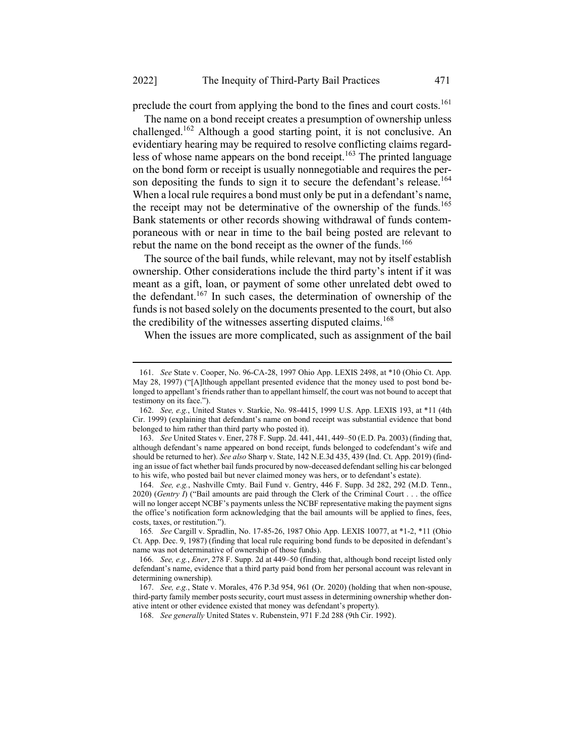preclude the court from applying the bond to the fines and court costs.<sup>161</sup>

The name on a bond receipt creates a presumption of ownership unless challenged.<sup>162</sup> Although a good starting point, it is not conclusive. An evidentiary hearing may be required to resolve conflicting claims regardless of whose name appears on the bond receipt.<sup>163</sup> The printed language on the bond form or receipt is usually nonnegotiable and requires the person depositing the funds to sign it to secure the defendant's release.<sup>164</sup> When a local rule requires a bond must only be put in a defendant's name, the receipt may not be determinative of the ownership of the funds.<sup>165</sup> Bank statements or other records showing withdrawal of funds contemporaneous with or near in time to the bail being posted are relevant to rebut the name on the bond receipt as the owner of the funds.<sup>166</sup>

The source of the bail funds, while relevant, may not by itself establish ownership. Other considerations include the third party's intent if it was meant as a gift, loan, or payment of some other unrelated debt owed to the defendant.<sup>167</sup> In such cases, the determination of ownership of the funds is not based solely on the documents presented to the court, but also the credibility of the witnesses asserting disputed claims.<sup>168</sup>

When the issues are more complicated, such as assignment of the bail

<sup>161.</sup> See State v. Cooper, No. 96-CA-28, 1997 Ohio App. LEXIS 2498, at \*10 (Ohio Ct. App. May 28, 1997) ("[A]lthough appellant presented evidence that the money used to post bond belonged to appellant's friends rather than to appellant himself, the court was not bound to accept that testimony on its face.").

<sup>162.</sup> See, e.g., United States v. Starkie, No. 98-4415, 1999 U.S. App. LEXIS 193, at \*11 (4th Cir. 1999) (explaining that defendant's name on bond receipt was substantial evidence that bond belonged to him rather than third party who posted it).

<sup>163.</sup> See United States v. Ener, 278 F. Supp. 2d. 441, 441, 449–50 (E.D. Pa. 2003) (finding that, although defendant's name appeared on bond receipt, funds belonged to codefendant's wife and should be returned to her). See also Sharp v. State, 142 N.E.3d 435, 439 (Ind. Ct. App. 2019) (finding an issue of fact whether bail funds procured by now-deceased defendant selling his car belonged to his wife, who posted bail but never claimed money was hers, or to defendant's estate).

<sup>164.</sup> See, e.g., Nashville Cmty. Bail Fund v. Gentry, 446 F. Supp. 3d 282, 292 (M.D. Tenn., 2020) (Gentry I) ("Bail amounts are paid through the Clerk of the Criminal Court . . . the office will no longer accept NCBF's payments unless the NCBF representative making the payment signs the office's notification form acknowledging that the bail amounts will be applied to fines, fees, costs, taxes, or restitution.").

<sup>165</sup>. See Cargill v. Spradlin, No. 17-85-26, 1987 Ohio App. LEXIS 10077, at \*1-2, \*11 (Ohio Ct. App. Dec. 9, 1987) (finding that local rule requiring bond funds to be deposited in defendant's name was not determinative of ownership of those funds).

<sup>166.</sup> See, e.g., Ener, 278 F. Supp. 2d at 449–50 (finding that, although bond receipt listed only defendant's name, evidence that a third party paid bond from her personal account was relevant in determining ownership).

<sup>167.</sup> See, e.g., State v. Morales, 476 P.3d 954, 961 (Or. 2020) (holding that when non-spouse, third-party family member posts security, court must assess in determining ownership whether donative intent or other evidence existed that money was defendant's property).

<sup>168.</sup> See generally United States v. Rubenstein, 971 F.2d 288 (9th Cir. 1992).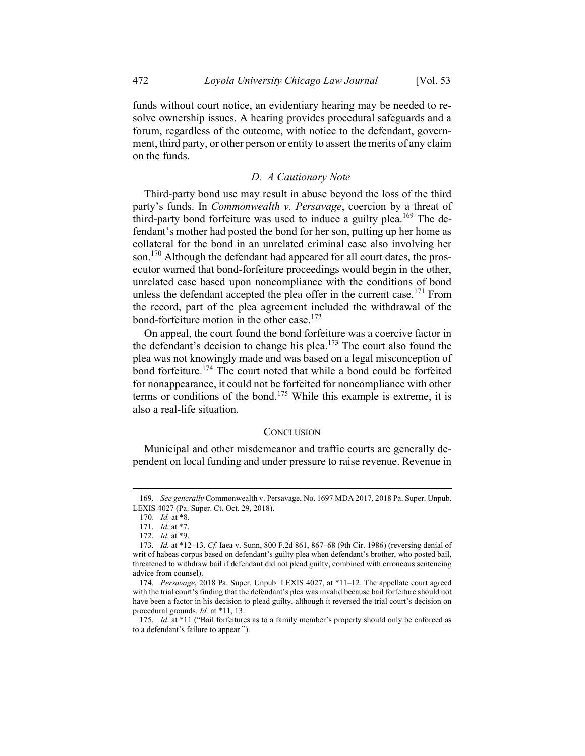funds without court notice, an evidentiary hearing may be needed to resolve ownership issues. A hearing provides procedural safeguards and a forum, regardless of the outcome, with notice to the defendant, government, third party, or other person or entity to assert the merits of any claim on the funds.

### D. A Cautionary Note

Third-party bond use may result in abuse beyond the loss of the third party's funds. In *Commonwealth v. Persavage*, coercion by a threat of third-party bond forfeiture was used to induce a guilty plea.<sup>169</sup> The defendant's mother had posted the bond for her son, putting up her home as collateral for the bond in an unrelated criminal case also involving her son.<sup>170</sup> Although the defendant had appeared for all court dates, the prosecutor warned that bond-forfeiture proceedings would begin in the other, unrelated case based upon noncompliance with the conditions of bond unless the defendant accepted the plea offer in the current case.<sup>171</sup> From the record, part of the plea agreement included the withdrawal of the bond-forfeiture motion in the other case.<sup>172</sup>

On appeal, the court found the bond forfeiture was a coercive factor in the defendant's decision to change his plea.<sup>173</sup> The court also found the plea was not knowingly made and was based on a legal misconception of bond forfeiture.<sup>174</sup> The court noted that while a bond could be forfeited for nonappearance, it could not be forfeited for noncompliance with other terms or conditions of the bond.<sup>175</sup> While this example is extreme, it is also a real-life situation.

#### **CONCLUSION**

Municipal and other misdemeanor and traffic courts are generally dependent on local funding and under pressure to raise revenue. Revenue in

<sup>169.</sup> See generally Commonwealth v. Persavage, No. 1697 MDA 2017, 2018 Pa. Super. Unpub. LEXIS 4027 (Pa. Super. Ct. Oct. 29, 2018).

<sup>170.</sup> Id. at \*8.

<sup>171.</sup> Id. at \*7.

<sup>172.</sup> Id. at \*9.

<sup>173.</sup> Id. at \*12–13. Cf. Iaea v. Sunn, 800 F.2d 861, 867–68 (9th Cir. 1986) (reversing denial of writ of habeas corpus based on defendant's guilty plea when defendant's brother, who posted bail, threatened to withdraw bail if defendant did not plead guilty, combined with erroneous sentencing advice from counsel).

<sup>174.</sup> Persavage, 2018 Pa. Super. Unpub. LEXIS 4027, at \*11–12. The appellate court agreed with the trial court's finding that the defendant's plea was invalid because bail forfeiture should not have been a factor in his decision to plead guilty, although it reversed the trial court's decision on procedural grounds. Id. at \*11, 13.

<sup>175.</sup> Id. at \*11 ("Bail forfeitures as to a family member's property should only be enforced as to a defendant's failure to appear.").